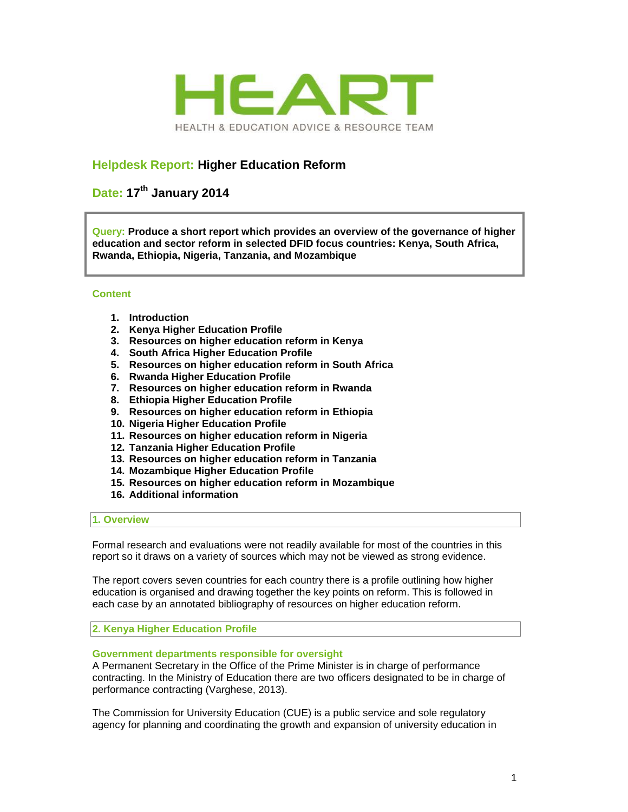

# **Helpdesk Report: Higher Education Reform**

# **Date: 17th January 2014**

**Query: Produce a short report which provides an overview of the governance of higher education and sector reform in selected DFID focus countries: Kenya, South Africa, Rwanda, Ethiopia, Nigeria, Tanzania, and Mozambique**

# **Content**

- **1. Introduction**
- **2. Kenya Higher Education Profile**
- **3. Resources on higher education reform in Kenya**
- **4. South Africa Higher Education Profile**
- **5. Resources on higher education reform in South Africa**
- **6. Rwanda Higher Education Profile**
- **7. Resources on higher education reform in Rwanda**
- **8. Ethiopia Higher Education Profile**
- **9. Resources on higher education reform in Ethiopia**
- **10. Nigeria Higher Education Profile**
- **11. Resources on higher education reform in Nigeria**
- **12. Tanzania Higher Education Profile**
- **13. Resources on higher education reform in Tanzania**
- **14. Mozambique Higher Education Profile**
- **15. Resources on higher education reform in Mozambique**
- **16. Additional information**

#### **1. Overview**

Formal research and evaluations were not readily available for most of the countries in this report so it draws on a variety of sources which may not be viewed as strong evidence.

The report covers seven countries for each country there is a profile outlining how higher education is organised and drawing together the key points on reform. This is followed in each case by an annotated bibliography of resources on higher education reform.

**2. Kenya Higher Education Profile**

#### **Government departments responsible for oversight**

A Permanent Secretary in the Office of the Prime Minister is in charge of performance contracting. In the Ministry of Education there are two officers designated to be in charge of performance contracting (Varghese, 2013).

The Commission for University Education (CUE) is a public service and sole regulatory agency for planning and coordinating the growth and expansion of university education in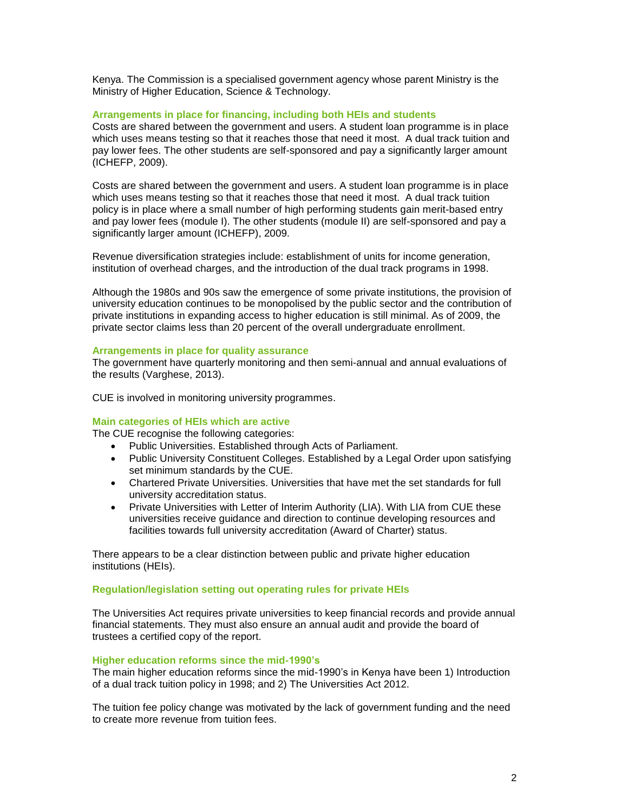Kenya. The Commission is a specialised government agency whose parent Ministry is the Ministry of Higher Education, Science & Technology.

# **Arrangements in place for financing, including both HEIs and students**

Costs are shared between the government and users. A student loan programme is in place which uses means testing so that it reaches those that need it most. A dual track tuition and pay lower fees. The other students are self-sponsored and pay a significantly larger amount (ICHEFP, 2009).

Costs are shared between the government and users. A student loan programme is in place which uses means testing so that it reaches those that need it most. A dual track tuition policy is in place where a small number of high performing students gain merit-based entry and pay lower fees (module I). The other students (module II) are self-sponsored and pay a significantly larger amount (ICHEFP), 2009.

Revenue diversification strategies include: establishment of units for income generation, institution of overhead charges, and the introduction of the dual track programs in 1998.

Although the 1980s and 90s saw the emergence of some private institutions, the provision of university education continues to be monopolised by the public sector and the contribution of private institutions in expanding access to higher education is still minimal. As of 2009, the private sector claims less than 20 percent of the overall undergraduate enrollment.

#### **Arrangements in place for quality assurance**

The government have quarterly monitoring and then semi-annual and annual evaluations of the results (Varghese, 2013).

CUE is involved in monitoring university programmes.

#### **Main categories of HEIs which are active**

The CUE recognise the following categories:

- Public Universities. Established through Acts of Parliament.
- Public University Constituent Colleges. Established by a Legal Order upon satisfying set minimum standards by the CUE.
- Chartered Private Universities. Universities that have met the set standards for full university accreditation status.
- Private Universities with Letter of Interim Authority (LIA). With LIA from CUE these universities receive guidance and direction to continue developing resources and facilities towards full university accreditation (Award of Charter) status.

There appears to be a clear distinction between public and private higher education institutions (HEIs).

# **Regulation/legislation setting out operating rules for private HEIs**

The Universities Act requires private universities to keep financial records and provide annual financial statements. They must also ensure an annual audit and provide the board of trustees a certified copy of the report.

#### **Higher education reforms since the mid-1990's**

The main higher education reforms since the mid-1990's in Kenya have been 1) Introduction of a dual track tuition policy in 1998; and 2) The Universities Act 2012.

The tuition fee policy change was motivated by the lack of government funding and the need to create more revenue from tuition fees.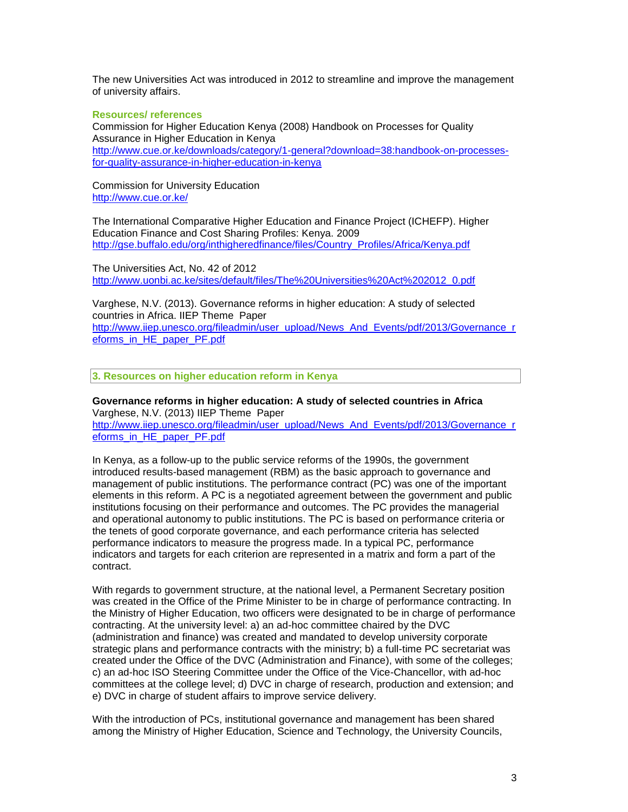The new Universities Act was introduced in 2012 to streamline and improve the management of university affairs.

#### **Resources/ references**

Commission for Higher Education Kenya (2008) Handbook on Processes for Quality Assurance in Higher Education in Kenya [http://www.cue.or.ke/downloads/category/1-general?download=38:handbook-on-processes](http://www.cue.or.ke/downloads/category/1-general?download=38:handbook-on-processes-for-quality-assurance-in-higher-education-in-kenya)[for-quality-assurance-in-higher-education-in-kenya](http://www.cue.or.ke/downloads/category/1-general?download=38:handbook-on-processes-for-quality-assurance-in-higher-education-in-kenya)

Commission for University Education <http://www.cue.or.ke/>

The International Comparative Higher Education and Finance Project (ICHEFP). Higher Education Finance and Cost Sharing Profiles: Kenya. 2009 [http://gse.buffalo.edu/org/inthigheredfinance/files/Country\\_Profiles/Africa/Kenya.pdf](http://gse.buffalo.edu/org/inthigheredfinance/files/Country_Profiles/Africa/Kenya.pdf)

The Universities Act, No. 42 of 2012 [http://www.uonbi.ac.ke/sites/default/files/The%20Universities%20Act%202012\\_0.pdf](http://www.uonbi.ac.ke/sites/default/files/The%20Universities%20Act%202012_0.pdf)

Varghese, N.V. (2013). Governance reforms in higher education: A study of selected countries in Africa. IIEP Theme Paper [http://www.iiep.unesco.org/fileadmin/user\\_upload/News\\_And\\_Events/pdf/2013/Governance\\_r](http://www.iiep.unesco.org/fileadmin/user_upload/News_And_Events/pdf/2013/Governance_reforms_in_HE_paper_PF.pdf) [eforms\\_in\\_HE\\_paper\\_PF.pdf](http://www.iiep.unesco.org/fileadmin/user_upload/News_And_Events/pdf/2013/Governance_reforms_in_HE_paper_PF.pdf)

**3. Resources on higher education reform in Kenya** 

**Governance reforms in higher education: A study of selected countries in Africa**  Varghese, N.V. (2013) IIEP Theme Paper [http://www.iiep.unesco.org/fileadmin/user\\_upload/News\\_And\\_Events/pdf/2013/Governance\\_r](http://www.iiep.unesco.org/fileadmin/user_upload/News_And_Events/pdf/2013/Governance_reforms_in_HE_paper_PF.pdf) [eforms\\_in\\_HE\\_paper\\_PF.pdf](http://www.iiep.unesco.org/fileadmin/user_upload/News_And_Events/pdf/2013/Governance_reforms_in_HE_paper_PF.pdf)

In Kenya, as a follow-up to the public service reforms of the 1990s, the government introduced results-based management (RBM) as the basic approach to governance and management of public institutions. The performance contract (PC) was one of the important elements in this reform. A PC is a negotiated agreement between the government and public institutions focusing on their performance and outcomes. The PC provides the managerial and operational autonomy to public institutions. The PC is based on performance criteria or the tenets of good corporate governance, and each performance criteria has selected performance indicators to measure the progress made. In a typical PC, performance indicators and targets for each criterion are represented in a matrix and form a part of the contract.

With regards to government structure, at the national level, a Permanent Secretary position was created in the Office of the Prime Minister to be in charge of performance contracting. In the Ministry of Higher Education, two officers were designated to be in charge of performance contracting. At the university level: a) an ad-hoc committee chaired by the DVC (administration and finance) was created and mandated to develop university corporate strategic plans and performance contracts with the ministry; b) a full-time PC secretariat was created under the Office of the DVC (Administration and Finance), with some of the colleges; c) an ad-hoc ISO Steering Committee under the Office of the Vice-Chancellor, with ad-hoc committees at the college level; d) DVC in charge of research, production and extension; and e) DVC in charge of student affairs to improve service delivery.

With the introduction of PCs, institutional governance and management has been shared among the Ministry of Higher Education, Science and Technology, the University Councils,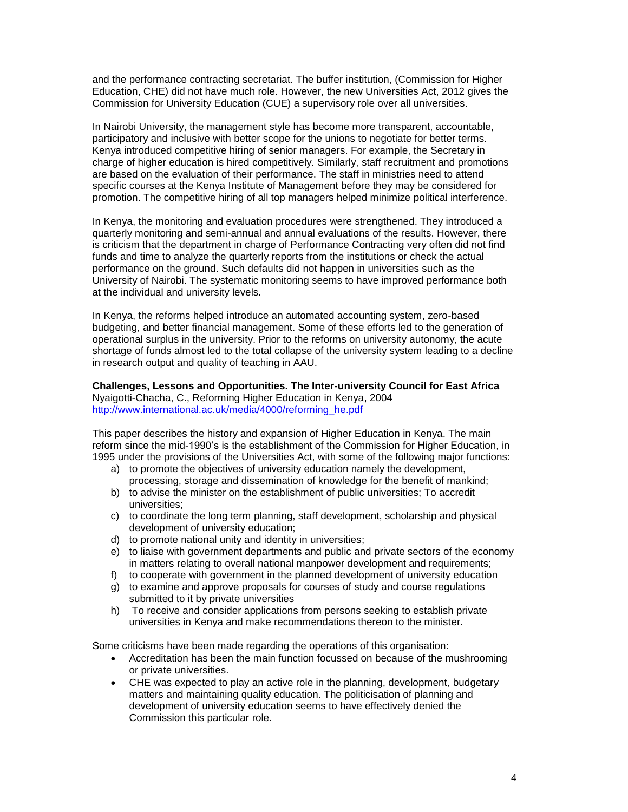and the performance contracting secretariat. The buffer institution, (Commission for Higher Education, CHE) did not have much role. However, the new Universities Act, 2012 gives the Commission for University Education (CUE) a supervisory role over all universities.

In Nairobi University, the management style has become more transparent, accountable, participatory and inclusive with better scope for the unions to negotiate for better terms. Kenya introduced competitive hiring of senior managers. For example, the Secretary in charge of higher education is hired competitively. Similarly, staff recruitment and promotions are based on the evaluation of their performance. The staff in ministries need to attend specific courses at the Kenya Institute of Management before they may be considered for promotion. The competitive hiring of all top managers helped minimize political interference.

In Kenya, the monitoring and evaluation procedures were strengthened. They introduced a quarterly monitoring and semi-annual and annual evaluations of the results. However, there is criticism that the department in charge of Performance Contracting very often did not find funds and time to analyze the quarterly reports from the institutions or check the actual performance on the ground. Such defaults did not happen in universities such as the University of Nairobi. The systematic monitoring seems to have improved performance both at the individual and university levels.

In Kenya, the reforms helped introduce an automated accounting system, zero-based budgeting, and better financial management. Some of these efforts led to the generation of operational surplus in the university. Prior to the reforms on university autonomy, the acute shortage of funds almost led to the total collapse of the university system leading to a decline in research output and quality of teaching in AAU.

# **Challenges, Lessons and Opportunities. The Inter-university Council for East Africa** Nyaigotti-Chacha, C., Reforming Higher Education in Kenya, 2004 [http://www.international.ac.uk/media/4000/reforming\\_he.pdf](http://www.international.ac.uk/media/4000/reforming_he.pdf)

This paper describes the history and expansion of Higher Education in Kenya. The main reform since the mid-1990's is the establishment of the Commission for Higher Education, in 1995 under the provisions of the Universities Act, with some of the following major functions:

- a) to promote the objectives of university education namely the development, processing, storage and dissemination of knowledge for the benefit of mankind;
- b) to advise the minister on the establishment of public universities: To accredit universities;
- c) to coordinate the long term planning, staff development, scholarship and physical development of university education;
- d) to promote national unity and identity in universities;
- e) to liaise with government departments and public and private sectors of the economy in matters relating to overall national manpower development and requirements;
- f) to cooperate with government in the planned development of university education
- g) to examine and approve proposals for courses of study and course regulations submitted to it by private universities
- h) To receive and consider applications from persons seeking to establish private universities in Kenya and make recommendations thereon to the minister.

Some criticisms have been made regarding the operations of this organisation:

- Accreditation has been the main function focussed on because of the mushrooming or private universities.
- CHE was expected to play an active role in the planning, development, budgetary matters and maintaining quality education. The politicisation of planning and development of university education seems to have effectively denied the Commission this particular role.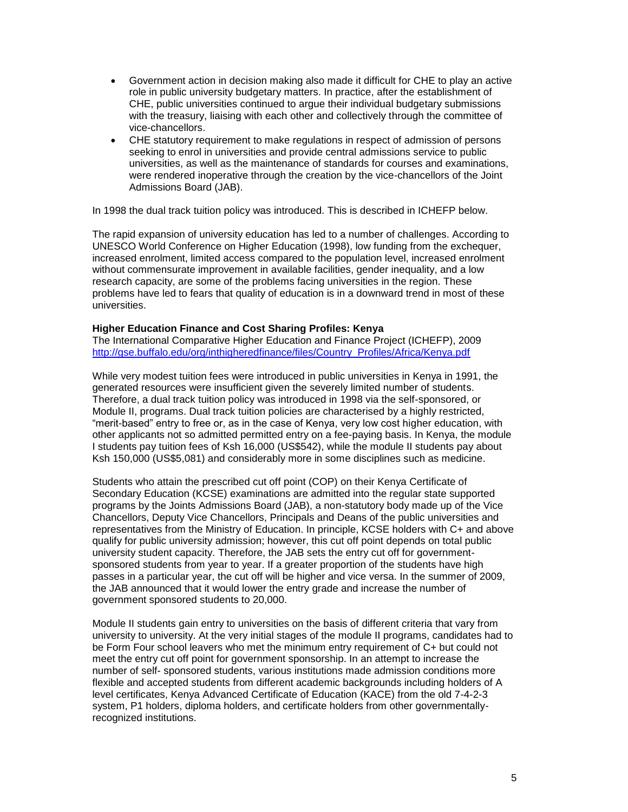- Government action in decision making also made it difficult for CHE to play an active role in public university budgetary matters. In practice, after the establishment of CHE, public universities continued to argue their individual budgetary submissions with the treasury, liaising with each other and collectively through the committee of vice-chancellors.
- CHE statutory requirement to make regulations in respect of admission of persons seeking to enrol in universities and provide central admissions service to public universities, as well as the maintenance of standards for courses and examinations, were rendered inoperative through the creation by the vice-chancellors of the Joint Admissions Board (JAB).

In 1998 the dual track tuition policy was introduced. This is described in ICHEFP below.

The rapid expansion of university education has led to a number of challenges. According to UNESCO World Conference on Higher Education (1998), low funding from the exchequer, increased enrolment, limited access compared to the population level, increased enrolment without commensurate improvement in available facilities, gender inequality, and a low research capacity, are some of the problems facing universities in the region. These problems have led to fears that quality of education is in a downward trend in most of these universities.

# **Higher Education Finance and Cost Sharing Profiles: Kenya**

The International Comparative Higher Education and Finance Project (ICHEFP), 2009 [http://gse.buffalo.edu/org/inthigheredfinance/files/Country\\_Profiles/Africa/Kenya.pdf](http://gse.buffalo.edu/org/inthigheredfinance/files/Country_Profiles/Africa/Kenya.pdf)

While very modest tuition fees were introduced in public universities in Kenya in 1991, the generated resources were insufficient given the severely limited number of students. Therefore, a dual track tuition policy was introduced in 1998 via the self-sponsored, or Module II, programs. Dual track tuition policies are characterised by a highly restricted, "merit-based" entry to free or, as in the case of Kenya, very low cost higher education, with other applicants not so admitted permitted entry on a fee-paying basis. In Kenya, the module I students pay tuition fees of Ksh 16,000 (US\$542), while the module II students pay about Ksh 150,000 (US\$5,081) and considerably more in some disciplines such as medicine.

Students who attain the prescribed cut off point (COP) on their Kenya Certificate of Secondary Education (KCSE) examinations are admitted into the regular state supported programs by the Joints Admissions Board (JAB), a non-statutory body made up of the Vice Chancellors, Deputy Vice Chancellors, Principals and Deans of the public universities and representatives from the Ministry of Education. In principle, KCSE holders with C+ and above qualify for public university admission; however, this cut off point depends on total public university student capacity. Therefore, the JAB sets the entry cut off for governmentsponsored students from year to year. If a greater proportion of the students have high passes in a particular year, the cut off will be higher and vice versa. In the summer of 2009, the JAB announced that it would lower the entry grade and increase the number of government sponsored students to 20,000.

Module II students gain entry to universities on the basis of different criteria that vary from university to university. At the very initial stages of the module II programs, candidates had to be Form Four school leavers who met the minimum entry requirement of C+ but could not meet the entry cut off point for government sponsorship. In an attempt to increase the number of self- sponsored students, various institutions made admission conditions more flexible and accepted students from different academic backgrounds including holders of A level certificates, Kenya Advanced Certificate of Education (KACE) from the old 7-4-2-3 system, P1 holders, diploma holders, and certificate holders from other governmentallyrecognized institutions.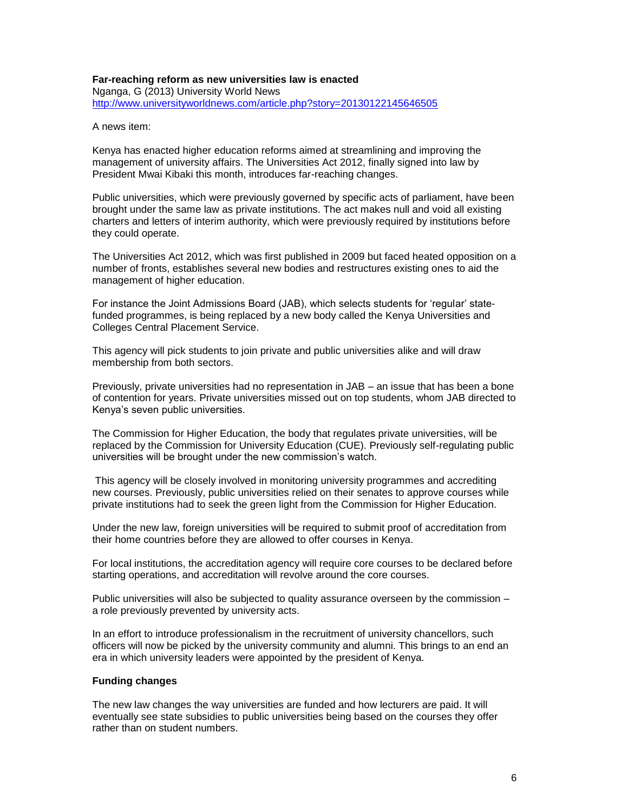#### **Far-reaching reform as new universities law is enacted** Nganga, G (2013) University World News <http://www.universityworldnews.com/article.php?story=20130122145646505>

A news item:

Kenya has enacted higher education reforms aimed at streamlining and improving the management of university affairs. The Universities Act 2012, finally signed into law by President Mwai Kibaki this month, introduces far-reaching changes.

Public universities, which were previously governed by specific acts of parliament, have been brought under the same law as private institutions. The act makes null and void all existing charters and letters of interim authority, which were previously required by institutions before they could operate.

The Universities Act 2012, which was first published in 2009 but faced heated opposition on a number of fronts, establishes several new bodies and restructures existing ones to aid the management of higher education.

For instance the Joint Admissions Board (JAB), which selects students for 'regular' statefunded programmes, is being replaced by a new body called the Kenya Universities and Colleges Central Placement Service.

This agency will pick students to join private and public universities alike and will draw membership from both sectors.

Previously, private universities had no representation in JAB – an issue that has been a bone of contention for years. Private universities missed out on top students, whom JAB directed to Kenya's seven public universities.

The Commission for Higher Education, the body that regulates private universities, will be replaced by the Commission for University Education (CUE). Previously self-regulating public universities will be brought under the new commission's watch.

This agency will be closely involved in monitoring university programmes and accrediting new courses. Previously, public universities relied on their senates to approve courses while private institutions had to seek the green light from the Commission for Higher Education.

Under the new law, foreign universities will be required to submit proof of accreditation from their home countries before they are allowed to offer courses in Kenya.

For local institutions, the accreditation agency will require core courses to be declared before starting operations, and accreditation will revolve around the core courses.

Public universities will also be subjected to quality assurance overseen by the commission – a role previously prevented by university acts.

In an effort to introduce professionalism in the recruitment of university chancellors, such officers will now be picked by the university community and alumni. This brings to an end an era in which university leaders were appointed by the president of Kenya.

# **Funding changes**

The new law changes the way universities are funded and how lecturers are paid. It will eventually see state subsidies to public universities being based on the courses they offer rather than on student numbers.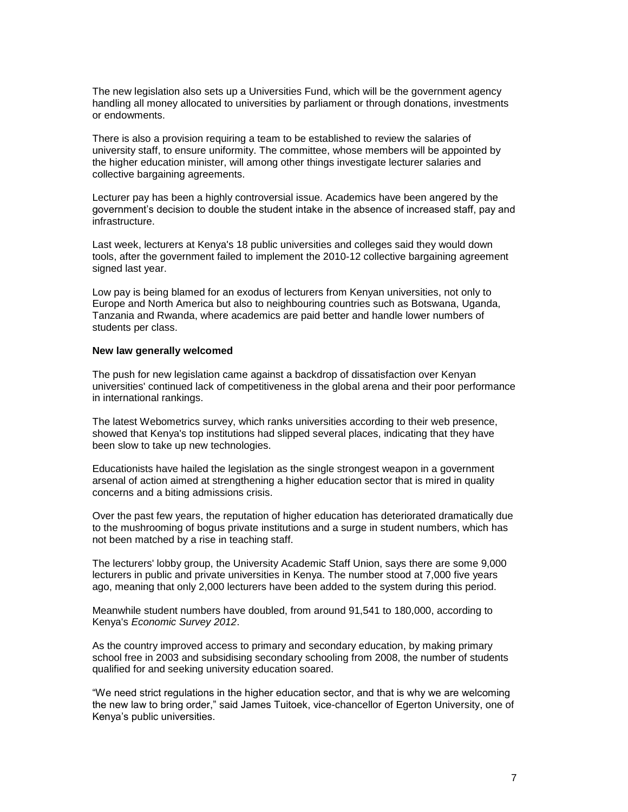The new legislation also sets up a Universities Fund, which will be the government agency handling all money allocated to universities by parliament or through donations, investments or endowments.

There is also a provision requiring a team to be established to review the salaries of university staff, to ensure uniformity. The committee, whose members will be appointed by the higher education minister, will among other things investigate lecturer salaries and collective bargaining agreements.

Lecturer pay has been a highly controversial issue. Academics have been angered by the government's decision to double the student intake in the absence of increased staff, pay and infrastructure.

Last week, lecturers at Kenya's 18 public universities and colleges said they would down tools, after the government failed to implement the 2010-12 collective bargaining agreement signed last year.

Low pay is being blamed for an exodus of lecturers from Kenyan universities, not only to Europe and North America but also to neighbouring countries such as Botswana, Uganda, Tanzania and Rwanda, where academics are paid better and handle lower numbers of students per class.

#### **New law generally welcomed**

The push for new legislation came against a backdrop of dissatisfaction over Kenyan universities' continued lack of competitiveness in the global arena and their poor performance in international rankings.

The latest Webometrics survey, which ranks universities according to their web presence, showed that Kenya's top institutions had slipped several places, indicating that they have been slow to take up new technologies.

Educationists have hailed the legislation as the single strongest weapon in a government arsenal of action aimed at strengthening a higher education sector that is mired in quality concerns and a biting admissions crisis.

Over the past few years, the reputation of higher education has deteriorated dramatically due to the mushrooming of bogus private institutions and a surge in student numbers, which has not been matched by a rise in teaching staff.

The lecturers' lobby group, the University Academic Staff Union, says there are some 9,000 lecturers in public and private universities in Kenya. The number stood at 7,000 five years ago, meaning that only 2,000 lecturers have been added to the system during this period.

Meanwhile student numbers have doubled, from around 91,541 to 180,000, according to Kenya's *Economic Survey 2012*.

As the country improved access to primary and secondary education, by making primary school free in 2003 and subsidising secondary schooling from 2008, the number of students qualified for and seeking university education soared.

"We need strict regulations in the higher education sector, and that is why we are welcoming the new law to bring order," said James Tuitoek, vice-chancellor of Egerton University, one of Kenya's public universities.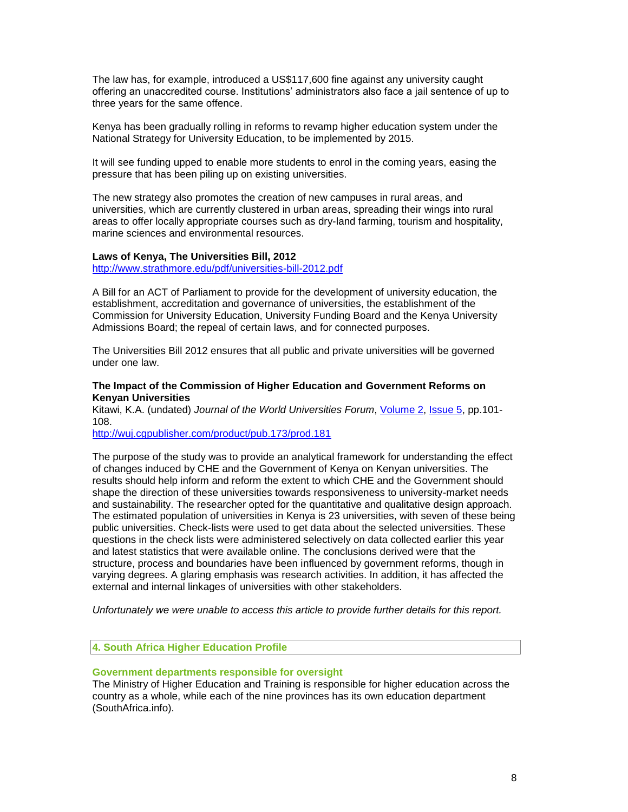The law has, for example, introduced a US\$117,600 fine against any university caught offering an unaccredited course. Institutions' administrators also face a jail sentence of up to three years for the same offence.

Kenya has been gradually rolling in reforms to revamp higher education system under the National Strategy for University Education, to be implemented by 2015.

It will see funding upped to enable more students to enrol in the coming years, easing the pressure that has been piling up on existing universities.

The new strategy also promotes the creation of new campuses in rural areas, and universities, which are currently clustered in urban areas, spreading their wings into rural areas to offer locally appropriate courses such as dry-land farming, tourism and hospitality, marine sciences and environmental resources.

#### **Laws of Kenya, The Universities Bill, 2012**

<http://www.strathmore.edu/pdf/universities-bill-2012.pdf>

A Bill for an ACT of Parliament to provide for the development of university education, the establishment, accreditation and governance of universities, the establishment of the Commission for University Education, University Funding Board and the Kenya University Admissions Board; the repeal of certain laws, and for connected purposes.

The Universities Bill 2012 ensures that all public and private universities will be governed under one law.

#### **The Impact of the Commission of Higher Education and Government Reforms on Kenyan Universities**

Kitawi, K.A. (undated) *Journal of the World Universities Forum*, [Volume 2,](http://wuj.cgpublisher.com/product/pub.173/prod.112) [Issue 5,](http://wuj.cgpublisher.com/product/pub.173/prod.178) pp.101- 108.

<http://wuj.cgpublisher.com/product/pub.173/prod.181>

The purpose of the study was to provide an analytical framework for understanding the effect of changes induced by CHE and the Government of Kenya on Kenyan universities. The results should help inform and reform the extent to which CHE and the Government should shape the direction of these universities towards responsiveness to university-market needs and sustainability. The researcher opted for the quantitative and qualitative design approach. The estimated population of universities in Kenya is 23 universities, with seven of these being public universities. Check-lists were used to get data about the selected universities. These questions in the check lists were administered selectively on data collected earlier this year and latest statistics that were available online. The conclusions derived were that the structure, process and boundaries have been influenced by government reforms, though in varying degrees. A glaring emphasis was research activities. In addition, it has affected the external and internal linkages of universities with other stakeholders.

*Unfortunately we were unable to access this article to provide further details for this report.*

# **4. South Africa Higher Education Profile**

#### **Government departments responsible for oversight**

The Ministry of Higher Education and Training is responsible for higher education across the country as a whole, while each of the nine provinces has its own education department (SouthAfrica.info).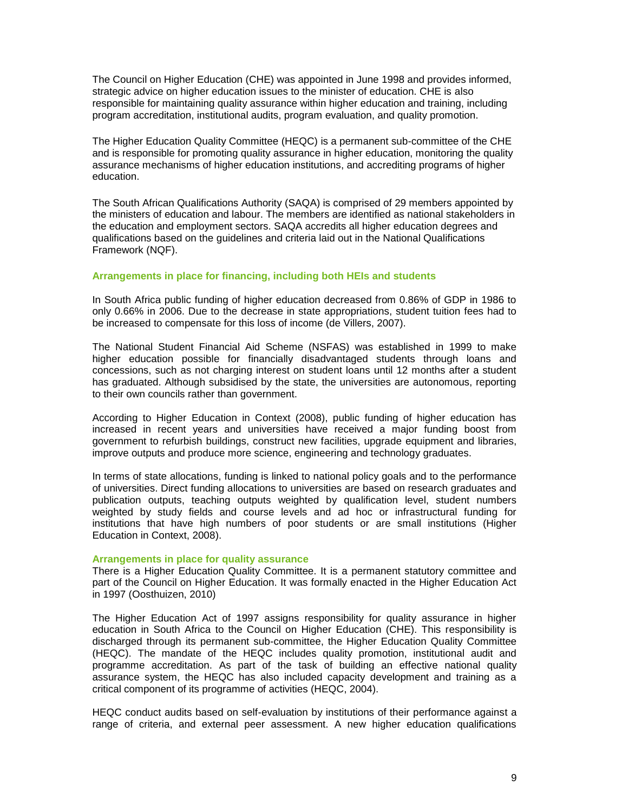The Council on Higher Education (CHE) was appointed in June 1998 and provides informed, strategic advice on higher education issues to the minister of education. CHE is also responsible for maintaining quality assurance within higher education and training, including program accreditation, institutional audits, program evaluation, and quality promotion.

The Higher Education Quality Committee (HEQC) is a permanent sub-committee of the CHE and is responsible for promoting quality assurance in higher education, monitoring the quality assurance mechanisms of higher education institutions, and accrediting programs of higher education.

The South African Qualifications Authority (SAQA) is comprised of 29 members appointed by the ministers of education and labour. The members are identified as national stakeholders in the education and employment sectors. SAQA accredits all higher education degrees and qualifications based on the guidelines and criteria laid out in the National Qualifications Framework (NQF).

# **Arrangements in place for financing, including both HEIs and students**

In South Africa public funding of higher education decreased from 0.86% of GDP in 1986 to only 0.66% in 2006. Due to the decrease in state appropriations, student tuition fees had to be increased to compensate for this loss of income (de Villers, 2007).

The National Student Financial Aid Scheme (NSFAS) was established in 1999 to make higher education possible for financially disadvantaged students through loans and concessions, such as not charging interest on student loans until 12 months after a student has graduated. Although subsidised by the state, the universities are autonomous, reporting to their own councils rather than government.

According to Higher Education in Context (2008), public funding of higher education has increased in recent years and universities have received a major funding boost from government to refurbish buildings, construct new facilities, upgrade equipment and libraries, improve outputs and produce more science, engineering and technology graduates.

In terms of state allocations, funding is linked to national policy goals and to the performance of universities. Direct funding allocations to universities are based on research graduates and publication outputs, teaching outputs weighted by qualification level, student numbers weighted by study fields and course levels and ad hoc or infrastructural funding for institutions that have high numbers of poor students or are small institutions (Higher Education in Context, 2008).

#### **Arrangements in place for quality assurance**

There is a Higher Education Quality Committee. It is a permanent statutory committee and part of the Council on Higher Education. It was formally enacted in the Higher Education Act in 1997 (Oosthuizen, 2010)

The Higher Education Act of 1997 assigns responsibility for quality assurance in higher education in South Africa to the Council on Higher Education (CHE). This responsibility is discharged through its permanent sub-committee, the Higher Education Quality Committee (HEQC). The mandate of the HEQC includes quality promotion, institutional audit and programme accreditation. As part of the task of building an effective national quality assurance system, the HEQC has also included capacity development and training as a critical component of its programme of activities (HEQC, 2004).

HEQC conduct audits based on self-evaluation by institutions of their performance against a range of criteria, and external peer assessment. A new higher education qualifications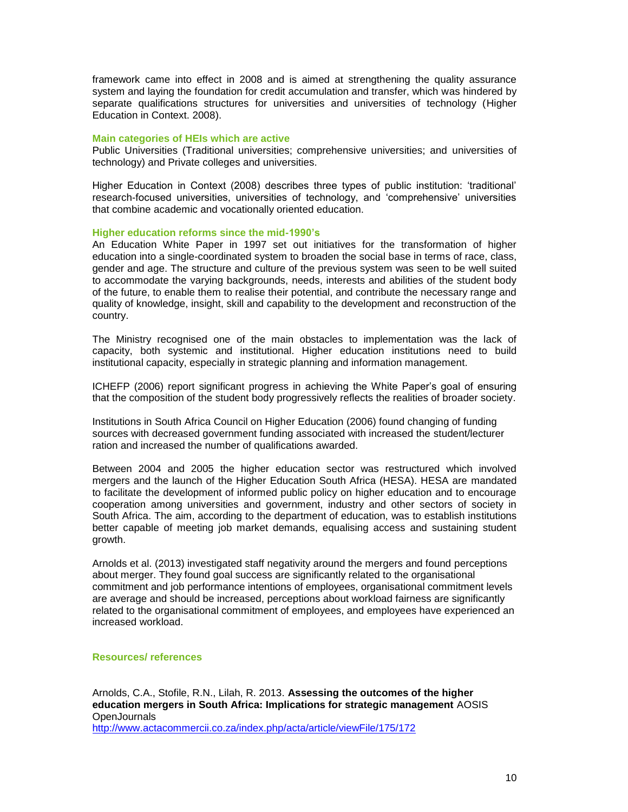framework came into effect in 2008 and is aimed at strengthening the quality assurance system and laying the foundation for credit accumulation and transfer, which was hindered by separate qualifications structures for universities and universities of technology (Higher Education in Context. 2008).

#### **Main categories of HEIs which are active**

Public Universities (Traditional universities; comprehensive universities; and universities of technology) and Private colleges and universities.

Higher Education in Context (2008) describes three types of public institution: 'traditional' research-focused universities, universities of technology, and 'comprehensive' universities that combine academic and vocationally oriented education.

#### **Higher education reforms since the mid-1990's**

An Education White Paper in 1997 set out initiatives for the transformation of higher education into a single-coordinated system to broaden the social base in terms of race, class, gender and age. The structure and culture of the previous system was seen to be well suited to accommodate the varying backgrounds, needs, interests and abilities of the student body of the future, to enable them to realise their potential, and contribute the necessary range and quality of knowledge, insight, skill and capability to the development and reconstruction of the country.

The Ministry recognised one of the main obstacles to implementation was the lack of capacity, both systemic and institutional. Higher education institutions need to build institutional capacity, especially in strategic planning and information management.

ICHEFP (2006) report significant progress in achieving the White Paper's goal of ensuring that the composition of the student body progressively reflects the realities of broader society.

Institutions in South Africa Council on Higher Education (2006) found changing of funding sources with decreased government funding associated with increased the student/lecturer ration and increased the number of qualifications awarded.

Between 2004 and 2005 the higher education sector was restructured which involved mergers and the launch of the Higher Education South Africa (HESA). HESA are mandated to facilitate the development of informed public policy on higher education and to encourage cooperation among universities and government, industry and other sectors of society in South Africa. The aim, according to the department of education, was to establish institutions better capable of meeting job market demands, equalising access and sustaining student growth.

Arnolds et al. (2013) investigated staff negativity around the mergers and found perceptions about merger. They found goal success are significantly related to the organisational commitment and job performance intentions of employees, organisational commitment levels are average and should be increased, perceptions about workload fairness are significantly related to the organisational commitment of employees, and employees have experienced an increased workload.

#### **Resources/ references**

Arnolds, C.A., Stofile, R.N., Lilah, R. 2013. **Assessing the outcomes of the higher education mergers in South Africa: Implications for strategic management** AOSIS **OpenJournals** <http://www.actacommercii.co.za/index.php/acta/article/viewFile/175/172>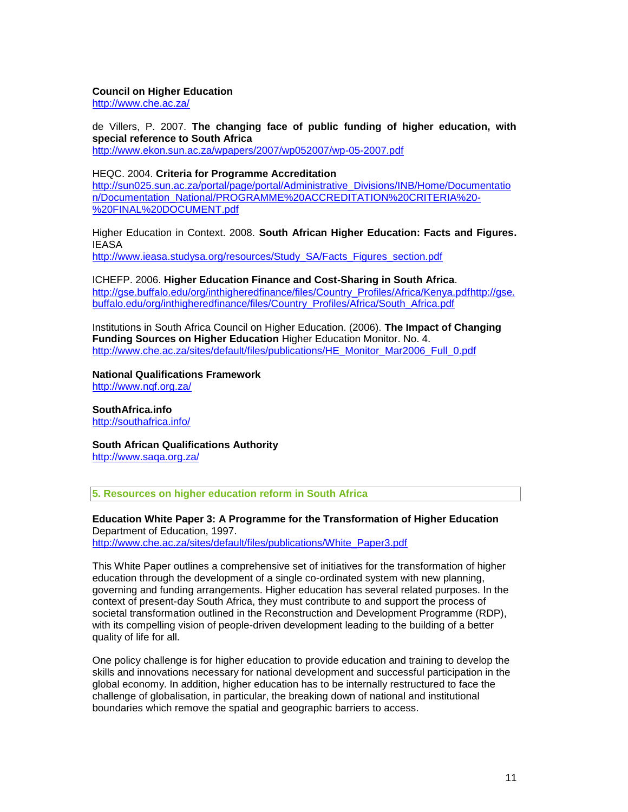#### **Council on Higher Education**

<http://www.che.ac.za/>

de Villers, P. 2007. **The changing face of public funding of higher education, with special reference to South Africa** <http://www.ekon.sun.ac.za/wpapers/2007/wp052007/wp-05-2007.pdf>

HEQC. 2004. **Criteria for Programme Accreditation** [http://sun025.sun.ac.za/portal/page/portal/Administrative\\_Divisions/INB/Home/Documentatio](http://sun025.sun.ac.za/portal/page/portal/Administrative_Divisions/INB/Home/Documentation/Documentation_National/PROGRAMME%20ACCREDITATION%20CRITERIA%20-%20FINAL%20DOCUMENT.pdf) [n/Documentation\\_National/PROGRAMME%20ACCREDITATION%20CRITERIA%20-](http://sun025.sun.ac.za/portal/page/portal/Administrative_Divisions/INB/Home/Documentation/Documentation_National/PROGRAMME%20ACCREDITATION%20CRITERIA%20-%20FINAL%20DOCUMENT.pdf) [%20FINAL%20DOCUMENT.pdf](http://sun025.sun.ac.za/portal/page/portal/Administrative_Divisions/INB/Home/Documentation/Documentation_National/PROGRAMME%20ACCREDITATION%20CRITERIA%20-%20FINAL%20DOCUMENT.pdf)

Higher Education in Context. 2008. **South African Higher Education: Facts and Figures.**  IEASA [http://www.ieasa.studysa.org/resources/Study\\_SA/Facts\\_Figures\\_section.pdf](http://www.ieasa.studysa.org/resources/Study_SA/Facts_Figures_section.pdf)

ICHEFP. 2006. **Higher Education Finance and Cost-Sharing in South Africa**. [http://gse.buffalo.edu/org/inthigheredfinance/files/Country\\_Profiles/Africa/Kenya.pdfhttp://gse.](http://gse.buffalo.edu/org/inthigheredfinance/files/Country_Profiles/Africa/Kenya.pdf) buffalo.edu/org/inthigheredfinance/files/Country\_Profiles/Africa/South\_Africa.pdf

Institutions in South Africa Council on Higher Education. (2006). **The Impact of Changing Funding Sources on Higher Education** Higher Education Monitor. No. 4. [http://www.che.ac.za/sites/default/files/publications/HE\\_Monitor\\_Mar2006\\_Full\\_0.pdf](http://www.che.ac.za/sites/default/files/publications/HE_Monitor_Mar2006_Full_0.pdf)

**National Qualifications Framework** <http://www.nqf.org.za/>

**SouthAfrica.info** <http://southafrica.info/>

**South African Qualifications Authority** <http://www.saqa.org.za/>

**5. Resources on higher education reform in South Africa**

**Education White Paper 3: A Programme for the Transformation of Higher Education** Department of Education, 1997. [http://www.che.ac.za/sites/default/files/publications/White\\_Paper3.pdf](http://www.che.ac.za/sites/default/files/publications/White_Paper3.pdf)

This White Paper outlines a comprehensive set of initiatives for the transformation of higher education through the development of a single co-ordinated system with new planning, governing and funding arrangements. Higher education has several related purposes. In the context of present-day South Africa, they must contribute to and support the process of societal transformation outlined in the Reconstruction and Development Programme (RDP), with its compelling vision of people-driven development leading to the building of a better quality of life for all.

One policy challenge is for higher education to provide education and training to develop the skills and innovations necessary for national development and successful participation in the global economy. In addition, higher education has to be internally restructured to face the challenge of globalisation, in particular, the breaking down of national and institutional boundaries which remove the spatial and geographic barriers to access.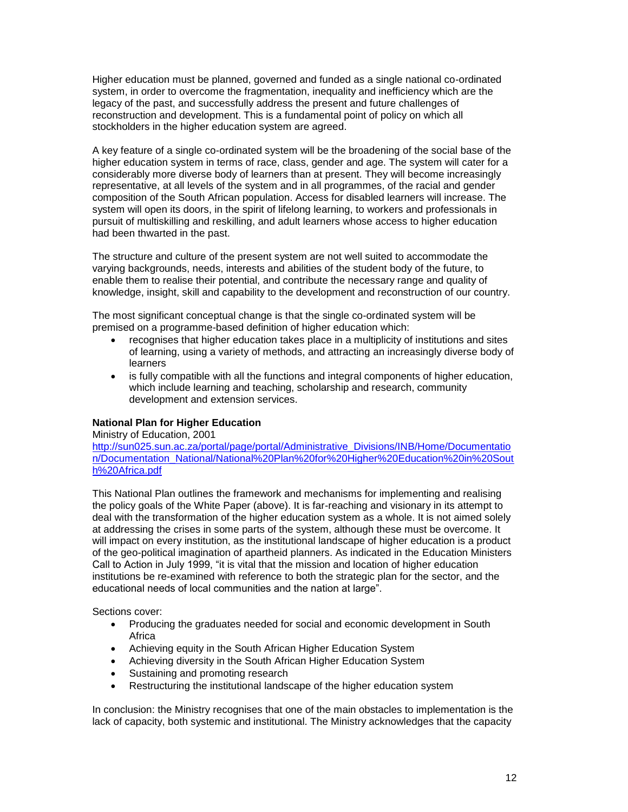Higher education must be planned, governed and funded as a single national co-ordinated system, in order to overcome the fragmentation, inequality and inefficiency which are the legacy of the past, and successfully address the present and future challenges of reconstruction and development. This is a fundamental point of policy on which all stockholders in the higher education system are agreed.

A key feature of a single co-ordinated system will be the broadening of the social base of the higher education system in terms of race, class, gender and age. The system will cater for a considerably more diverse body of learners than at present. They will become increasingly representative, at all levels of the system and in all programmes, of the racial and gender composition of the South African population. Access for disabled learners will increase. The system will open its doors, in the spirit of lifelong learning, to workers and professionals in pursuit of multiskilling and reskilling, and adult learners whose access to higher education had been thwarted in the past.

The structure and culture of the present system are not well suited to accommodate the varying backgrounds, needs, interests and abilities of the student body of the future, to enable them to realise their potential, and contribute the necessary range and quality of knowledge, insight, skill and capability to the development and reconstruction of our country.

The most significant conceptual change is that the single co-ordinated system will be premised on a programme-based definition of higher education which:

- recognises that higher education takes place in a multiplicity of institutions and sites of learning, using a variety of methods, and attracting an increasingly diverse body of learners
- is fully compatible with all the functions and integral components of higher education, which include learning and teaching, scholarship and research, community development and extension services.

# **National Plan for Higher Education**

Ministry of Education, 2001

[http://sun025.sun.ac.za/portal/page/portal/Administrative\\_Divisions/INB/Home/Documentatio](http://sun025.sun.ac.za/portal/page/portal/Administrative_Divisions/INB/Home/Documentation/Documentation_National/National%20Plan%20for%20Higher%20Education%20in%20South%20Africa.pdf) [n/Documentation\\_National/National%20Plan%20for%20Higher%20Education%20in%20Sout](http://sun025.sun.ac.za/portal/page/portal/Administrative_Divisions/INB/Home/Documentation/Documentation_National/National%20Plan%20for%20Higher%20Education%20in%20South%20Africa.pdf) [h%20Africa.pdf](http://sun025.sun.ac.za/portal/page/portal/Administrative_Divisions/INB/Home/Documentation/Documentation_National/National%20Plan%20for%20Higher%20Education%20in%20South%20Africa.pdf)

This National Plan outlines the framework and mechanisms for implementing and realising the policy goals of the White Paper (above). It is far-reaching and visionary in its attempt to deal with the transformation of the higher education system as a whole. It is not aimed solely at addressing the crises in some parts of the system, although these must be overcome. It will impact on every institution, as the institutional landscape of higher education is a product of the geo-political imagination of apartheid planners. As indicated in the Education Ministers Call to Action in July 1999, "it is vital that the mission and location of higher education institutions be re-examined with reference to both the strategic plan for the sector, and the educational needs of local communities and the nation at large".

Sections cover:

- Producing the graduates needed for social and economic development in South Africa
- Achieving equity in the South African Higher Education System
- Achieving diversity in the South African Higher Education System
- Sustaining and promoting research
- Restructuring the institutional landscape of the higher education system

In conclusion: the Ministry recognises that one of the main obstacles to implementation is the lack of capacity, both systemic and institutional. The Ministry acknowledges that the capacity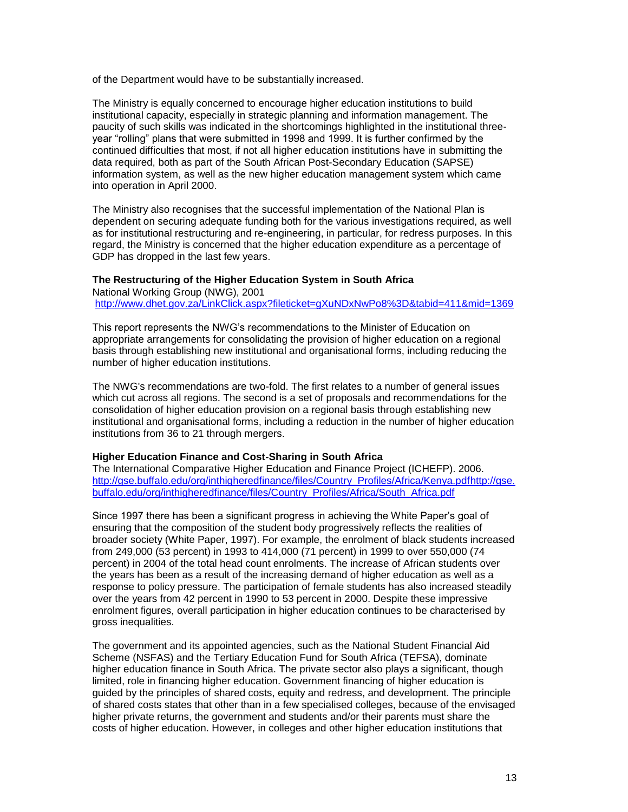of the Department would have to be substantially increased.

The Ministry is equally concerned to encourage higher education institutions to build institutional capacity, especially in strategic planning and information management. The paucity of such skills was indicated in the shortcomings highlighted in the institutional threeyear "rolling" plans that were submitted in 1998 and 1999. It is further confirmed by the continued difficulties that most, if not all higher education institutions have in submitting the data required, both as part of the South African Post-Secondary Education (SAPSE) information system, as well as the new higher education management system which came into operation in April 2000.

The Ministry also recognises that the successful implementation of the National Plan is dependent on securing adequate funding both for the various investigations required, as well as for institutional restructuring and re-engineering, in particular, for redress purposes. In this regard, the Ministry is concerned that the higher education expenditure as a percentage of GDP has dropped in the last few years.

# **The Restructuring of the Higher Education System in South Africa**  National Working Group (NWG), 2001

<http://www.dhet.gov.za/LinkClick.aspx?fileticket=gXuNDxNwPo8%3D&tabid=411&mid=1369>

This report represents the NWG's recommendations to the Minister of Education on appropriate arrangements for consolidating the provision of higher education on a regional basis through establishing new institutional and organisational forms, including reducing the number of higher education institutions.

The NWG's recommendations are two-fold. The first relates to a number of general issues which cut across all regions. The second is a set of proposals and recommendations for the consolidation of higher education provision on a regional basis through establishing new institutional and organisational forms, including a reduction in the number of higher education institutions from 36 to 21 through mergers.

# **Higher Education Finance and Cost-Sharing in South Africa**

The International Comparative Higher Education and Finance Project (ICHEFP). 2006. [http://gse.buffalo.edu/org/inthigheredfinance/files/Country\\_Profiles/Africa/Kenya.pdfhttp://gse.](http://gse.buffalo.edu/org/inthigheredfinance/files/Country_Profiles/Africa/Kenya.pdf) buffalo.edu/org/inthigheredfinance/files/Country\_Profiles/Africa/South\_Africa.pdf

Since 1997 there has been a significant progress in achieving the White Paper's goal of ensuring that the composition of the student body progressively reflects the realities of broader society (White Paper, 1997). For example, the enrolment of black students increased from 249,000 (53 percent) in 1993 to 414,000 (71 percent) in 1999 to over 550,000 (74 percent) in 2004 of the total head count enrolments. The increase of African students over the years has been as a result of the increasing demand of higher education as well as a response to policy pressure. The participation of female students has also increased steadily over the years from 42 percent in 1990 to 53 percent in 2000. Despite these impressive enrolment figures, overall participation in higher education continues to be characterised by gross inequalities.

The government and its appointed agencies, such as the National Student Financial Aid Scheme (NSFAS) and the Tertiary Education Fund for South Africa (TEFSA), dominate higher education finance in South Africa. The private sector also plays a significant, though limited, role in financing higher education. Government financing of higher education is guided by the principles of shared costs, equity and redress, and development. The principle of shared costs states that other than in a few specialised colleges, because of the envisaged higher private returns, the government and students and/or their parents must share the costs of higher education. However, in colleges and other higher education institutions that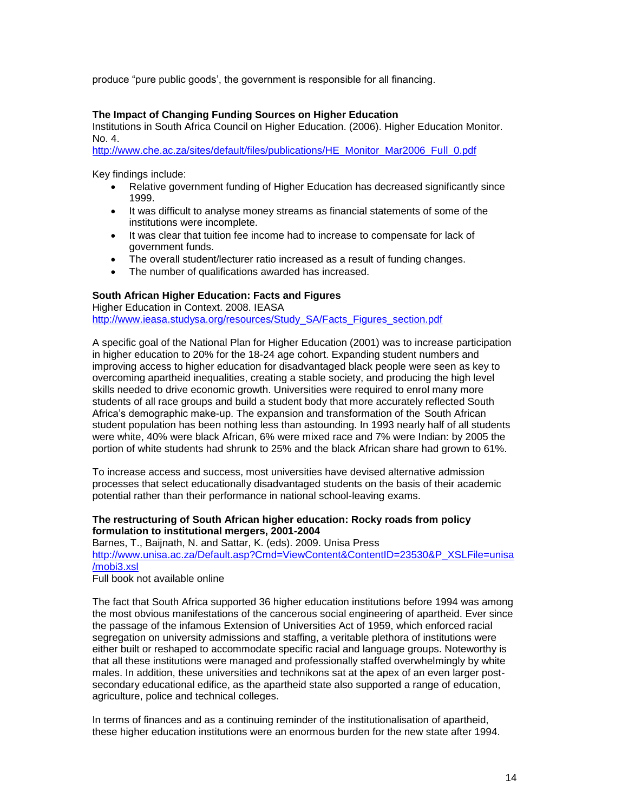produce "pure public goods', the government is responsible for all financing.

# **The Impact of Changing Funding Sources on Higher Education**

Institutions in South Africa Council on Higher Education. (2006). Higher Education Monitor. No. 4.

[http://www.che.ac.za/sites/default/files/publications/HE\\_Monitor\\_Mar2006\\_Full\\_0.pdf](http://www.che.ac.za/sites/default/files/publications/HE_Monitor_Mar2006_Full_0.pdf)

Key findings include:

- Relative government funding of Higher Education has decreased significantly since 1999.
- It was difficult to analyse money streams as financial statements of some of the institutions were incomplete.
- It was clear that tuition fee income had to increase to compensate for lack of government funds.
- The overall student/lecturer ratio increased as a result of funding changes.
- The number of qualifications awarded has increased.

# **South African Higher Education: Facts and Figures**

Higher Education in Context. 2008. IEASA [http://www.ieasa.studysa.org/resources/Study\\_SA/Facts\\_Figures\\_section.pdf](http://www.ieasa.studysa.org/resources/Study_SA/Facts_Figures_section.pdf)

A specific goal of the National Plan for Higher Education (2001) was to increase participation in higher education to 20% for the 18-24 age cohort. Expanding student numbers and improving access to higher education for disadvantaged black people were seen as key to overcoming apartheid inequalities, creating a stable society, and producing the high level skills needed to drive economic growth. Universities were required to enrol many more students of all race groups and build a student body that more accurately reflected South Africa's demographic make-up. The expansion and transformation of the South African student population has been nothing less than astounding. In 1993 nearly half of all students were white, 40% were black African, 6% were mixed race and 7% were Indian: by 2005 the portion of white students had shrunk to 25% and the black African share had grown to 61%.

To increase access and success, most universities have devised alternative admission processes that select educationally disadvantaged students on the basis of their academic potential rather than their performance in national school-leaving exams.

# **The restructuring of South African higher education: Rocky roads from policy formulation to institutional mergers, 2001-2004**

Barnes, T., Baijnath, N. and Sattar, K. (eds). 2009. Unisa Press

[http://www.unisa.ac.za/Default.asp?Cmd=ViewContent&ContentID=23530&P\\_XSLFile=unisa](http://www.unisa.ac.za/Default.asp?Cmd=ViewContent&ContentID=23530&P_XSLFile=unisa/mobi3.xsl) [/mobi3.xsl](http://www.unisa.ac.za/Default.asp?Cmd=ViewContent&ContentID=23530&P_XSLFile=unisa/mobi3.xsl)

Full book not available online

The fact that South Africa supported 36 higher education institutions before 1994 was among the most obvious manifestations of the cancerous social engineering of apartheid. Ever since the passage of the infamous Extension of Universities Act of 1959, which enforced racial segregation on university admissions and staffing, a veritable plethora of institutions were either built or reshaped to accommodate specific racial and language groups. Noteworthy is that all these institutions were managed and professionally staffed overwhelmingly by white males. In addition, these universities and technikons sat at the apex of an even larger postsecondary educational edifice, as the apartheid state also supported a range of education, agriculture, police and technical colleges.

In terms of finances and as a continuing reminder of the institutionalisation of apartheid, these higher education institutions were an enormous burden for the new state after 1994.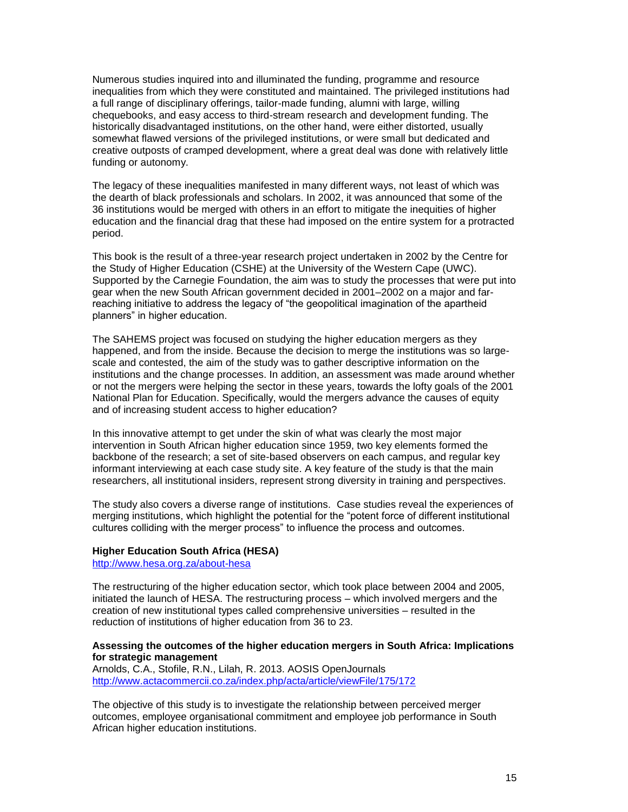Numerous studies inquired into and illuminated the funding, programme and resource inequalities from which they were constituted and maintained. The privileged institutions had a full range of disciplinary offerings, tailor-made funding, alumni with large, willing chequebooks, and easy access to third-stream research and development funding. The historically disadvantaged institutions, on the other hand, were either distorted, usually somewhat flawed versions of the privileged institutions, or were small but dedicated and creative outposts of cramped development, where a great deal was done with relatively little funding or autonomy.

The legacy of these inequalities manifested in many different ways, not least of which was the dearth of black professionals and scholars. In 2002, it was announced that some of the 36 institutions would be merged with others in an effort to mitigate the inequities of higher education and the financial drag that these had imposed on the entire system for a protracted period.

This book is the result of a three-year research project undertaken in 2002 by the Centre for the Study of Higher Education (CSHE) at the University of the Western Cape (UWC). Supported by the Carnegie Foundation, the aim was to study the processes that were put into gear when the new South African government decided in 2001–2002 on a major and farreaching initiative to address the legacy of "the geopolitical imagination of the apartheid planners" in higher education.

The SAHEMS project was focused on studying the higher education mergers as they happened, and from the inside. Because the decision to merge the institutions was so largescale and contested, the aim of the study was to gather descriptive information on the institutions and the change processes. In addition, an assessment was made around whether or not the mergers were helping the sector in these years, towards the lofty goals of the 2001 National Plan for Education. Specifically, would the mergers advance the causes of equity and of increasing student access to higher education?

In this innovative attempt to get under the skin of what was clearly the most major intervention in South African higher education since 1959, two key elements formed the backbone of the research; a set of site-based observers on each campus, and regular key informant interviewing at each case study site. A key feature of the study is that the main researchers, all institutional insiders, represent strong diversity in training and perspectives.

The study also covers a diverse range of institutions. Case studies reveal the experiences of merging institutions, which highlight the potential for the "potent force of different institutional cultures colliding with the merger process" to influence the process and outcomes.

#### **Higher Education South Africa (HESA)**

<http://www.hesa.org.za/about-hesa>

The restructuring of the higher education sector, which took place between 2004 and 2005, initiated the launch of HESA. The restructuring process – which involved mergers and the creation of new institutional types called comprehensive universities – resulted in the reduction of institutions of higher education from 36 to 23.

## **Assessing the outcomes of the higher education mergers in South Africa: Implications for strategic management**

Arnolds, C.A., Stofile, R.N., Lilah, R. 2013. AOSIS OpenJournals <http://www.actacommercii.co.za/index.php/acta/article/viewFile/175/172>

The objective of this study is to investigate the relationship between perceived merger outcomes, employee organisational commitment and employee job performance in South African higher education institutions.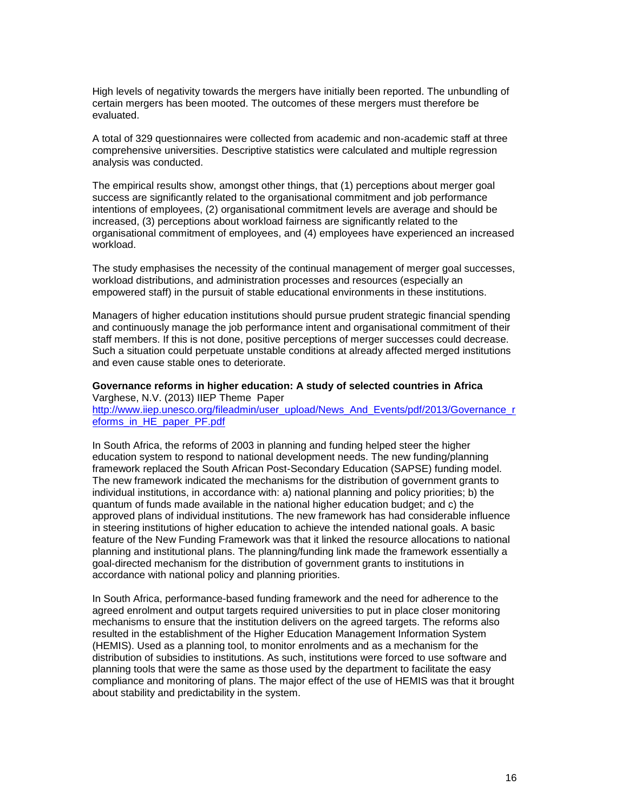High levels of negativity towards the mergers have initially been reported. The unbundling of certain mergers has been mooted. The outcomes of these mergers must therefore be evaluated.

A total of 329 questionnaires were collected from academic and non-academic staff at three comprehensive universities. Descriptive statistics were calculated and multiple regression analysis was conducted.

The empirical results show, amongst other things, that (1) perceptions about merger goal success are significantly related to the organisational commitment and job performance intentions of employees, (2) organisational commitment levels are average and should be increased, (3) perceptions about workload fairness are significantly related to the organisational commitment of employees, and (4) employees have experienced an increased workload.

The study emphasises the necessity of the continual management of merger goal successes, workload distributions, and administration processes and resources (especially an empowered staff) in the pursuit of stable educational environments in these institutions.

Managers of higher education institutions should pursue prudent strategic financial spending and continuously manage the job performance intent and organisational commitment of their staff members. If this is not done, positive perceptions of merger successes could decrease. Such a situation could perpetuate unstable conditions at already affected merged institutions and even cause stable ones to deteriorate.

**Governance reforms in higher education: A study of selected countries in Africa**  Varghese, N.V. (2013) IIEP Theme Paper [http://www.iiep.unesco.org/fileadmin/user\\_upload/News\\_And\\_Events/pdf/2013/Governance\\_r](http://www.iiep.unesco.org/fileadmin/user_upload/News_And_Events/pdf/2013/Governance_reforms_in_HE_paper_PF.pdf) [eforms\\_in\\_HE\\_paper\\_PF.pdf](http://www.iiep.unesco.org/fileadmin/user_upload/News_And_Events/pdf/2013/Governance_reforms_in_HE_paper_PF.pdf)

In South Africa, the reforms of 2003 in planning and funding helped steer the higher education system to respond to national development needs. The new funding/planning framework replaced the South African Post-Secondary Education (SAPSE) funding model. The new framework indicated the mechanisms for the distribution of government grants to individual institutions, in accordance with: a) national planning and policy priorities; b) the quantum of funds made available in the national higher education budget; and c) the approved plans of individual institutions. The new framework has had considerable influence in steering institutions of higher education to achieve the intended national goals. A basic feature of the New Funding Framework was that it linked the resource allocations to national planning and institutional plans. The planning/funding link made the framework essentially a goal-directed mechanism for the distribution of government grants to institutions in accordance with national policy and planning priorities.

In South Africa, performance-based funding framework and the need for adherence to the agreed enrolment and output targets required universities to put in place closer monitoring mechanisms to ensure that the institution delivers on the agreed targets. The reforms also resulted in the establishment of the Higher Education Management Information System (HEMIS). Used as a planning tool, to monitor enrolments and as a mechanism for the distribution of subsidies to institutions. As such, institutions were forced to use software and planning tools that were the same as those used by the department to facilitate the easy compliance and monitoring of plans. The major effect of the use of HEMIS was that it brought about stability and predictability in the system.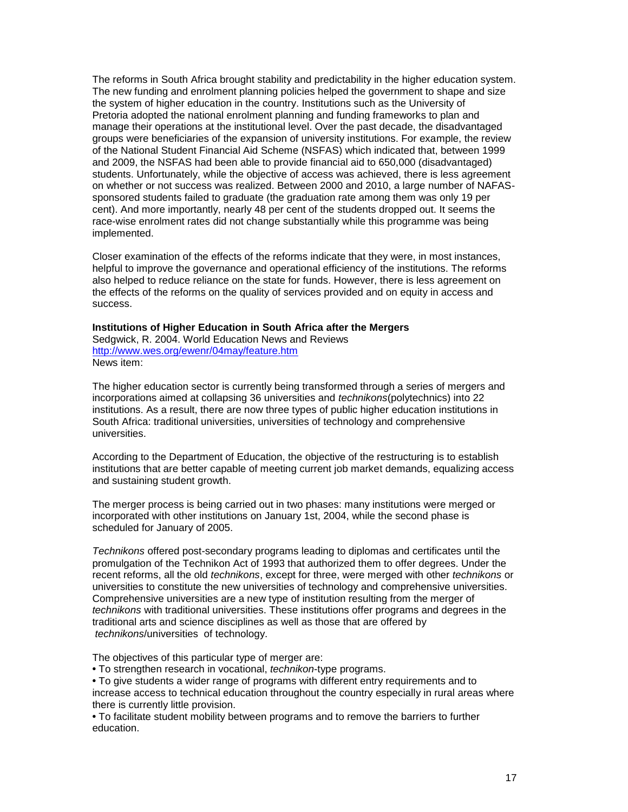The reforms in South Africa brought stability and predictability in the higher education system. The new funding and enrolment planning policies helped the government to shape and size the system of higher education in the country. Institutions such as the University of Pretoria adopted the national enrolment planning and funding frameworks to plan and manage their operations at the institutional level. Over the past decade, the disadvantaged groups were beneficiaries of the expansion of university institutions. For example, the review of the National Student Financial Aid Scheme (NSFAS) which indicated that, between 1999 and 2009, the NSFAS had been able to provide financial aid to 650,000 (disadvantaged) students. Unfortunately, while the objective of access was achieved, there is less agreement on whether or not success was realized. Between 2000 and 2010, a large number of NAFASsponsored students failed to graduate (the graduation rate among them was only 19 per cent). And more importantly, nearly 48 per cent of the students dropped out. It seems the race-wise enrolment rates did not change substantially while this programme was being implemented.

Closer examination of the effects of the reforms indicate that they were, in most instances, helpful to improve the governance and operational efficiency of the institutions. The reforms also helped to reduce reliance on the state for funds. However, there is less agreement on the effects of the reforms on the quality of services provided and on equity in access and success.

**Institutions of Higher Education in South Africa after the Mergers** Sedgwick, R. 2004. World Education News and Reviews <http://www.wes.org/ewenr/04may/feature.htm> News item:

The higher education sector is currently being transformed through a series of mergers and incorporations aimed at collapsing 36 universities and *technikons*(polytechnics) into 22 institutions. As a result, there are now three types of public higher education institutions in South Africa: traditional universities, universities of technology and comprehensive universities.

According to the Department of Education, the objective of the restructuring is to establish institutions that are better capable of meeting current job market demands, equalizing access and sustaining student growth.

The merger process is being carried out in two phases: many institutions were merged or incorporated with other institutions on January 1st, 2004, while the second phase is scheduled for January of 2005.

*Technikons* offered post-secondary programs leading to diplomas and certificates until the promulgation of the Technikon Act of 1993 that authorized them to offer degrees. Under the recent reforms, all the old *technikons*, except for three, were merged with other *technikons* or universities to constitute the new universities of technology and comprehensive universities. Comprehensive universities are a new type of institution resulting from the merger of *technikons* with traditional universities. These institutions offer programs and degrees in the traditional arts and science disciplines as well as those that are offered by *technikons*/universities of technology.

The objectives of this particular type of merger are:

**•** To strengthen research in vocational, *technikon*-type programs.

**•** To give students a wider range of programs with different entry requirements and to increase access to technical education throughout the country especially in rural areas where there is currently little provision.

**•** To facilitate student mobility between programs and to remove the barriers to further education.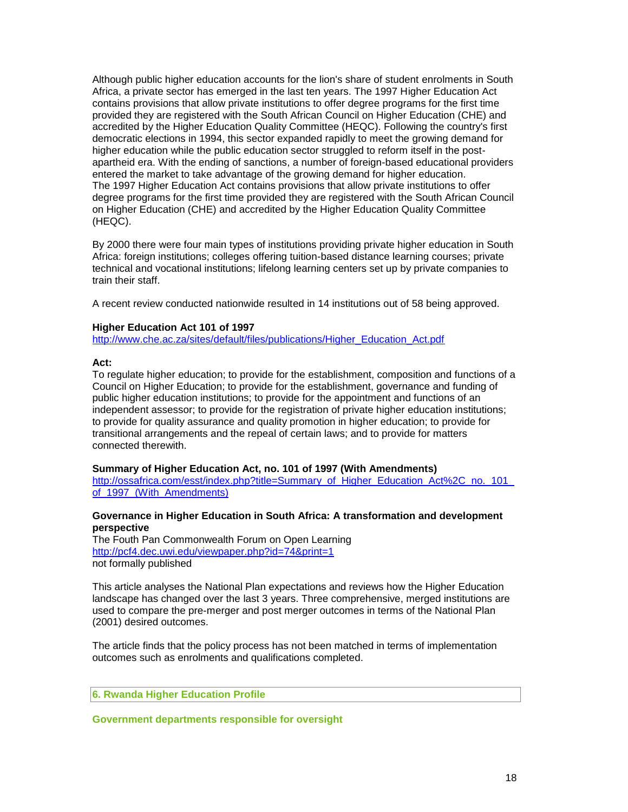Although public higher education accounts for the lion's share of student enrolments in South Africa, a private sector has emerged in the last ten years. The 1997 Higher Education Act contains provisions that allow private institutions to offer degree programs for the first time provided they are registered with the South African Council on Higher Education (CHE) and accredited by the Higher Education Quality Committee (HEQC). Following the country's first democratic elections in 1994, this sector expanded rapidly to meet the growing demand for higher education while the public education sector struggled to reform itself in the postapartheid era. With the ending of sanctions, a number of foreign-based educational providers entered the market to take advantage of the growing demand for higher education. The 1997 Higher Education Act contains provisions that allow private institutions to offer degree programs for the first time provided they are registered with the South African Council on Higher Education (CHE) and accredited by the Higher Education Quality Committee (HEQC).

By 2000 there were four main types of institutions providing private higher education in South Africa: foreign institutions; colleges offering tuition-based distance learning courses; private technical and vocational institutions; lifelong learning centers set up by private companies to train their staff.

A recent review conducted nationwide resulted in 14 institutions out of 58 being approved.

## **Higher Education Act 101 of 1997**

[http://www.che.ac.za/sites/default/files/publications/Higher\\_Education\\_Act.pdf](http://www.che.ac.za/sites/default/files/publications/Higher_Education_Act.pdf)

#### **Act:**

To regulate higher education; to provide for the establishment, composition and functions of a Council on Higher Education; to provide for the establishment, governance and funding of public higher education institutions; to provide for the appointment and functions of an independent assessor; to provide for the registration of private higher education institutions; to provide for quality assurance and quality promotion in higher education; to provide for transitional arrangements and the repeal of certain laws; and to provide for matters connected therewith.

# **Summary of Higher Education Act, no. 101 of 1997 (With Amendments)**

http://ossafrica.com/esst/index.php?title=Summary\_of\_Higher\_Education\_Act%2C\_no.\_101 [of\\_1997\\_\(With\\_Amendments\)](http://ossafrica.com/esst/index.php?title=Summary_of_Higher_Education_Act%2C_no._101_of_1997_(With_Amendments))

# **Governance in Higher Education in South Africa: A transformation and development perspective**

The Fouth Pan Commonwealth Forum on Open Learning <http://pcf4.dec.uwi.edu/viewpaper.php?id=74&print=1> not formally published

This article analyses the National Plan expectations and reviews how the Higher Education landscape has changed over the last 3 years. Three comprehensive, merged institutions are used to compare the pre-merger and post merger outcomes in terms of the National Plan (2001) desired outcomes.

The article finds that the policy process has not been matched in terms of implementation outcomes such as enrolments and qualifications completed.

#### **6. Rwanda Higher Education Profile**

#### **Government departments responsible for oversight**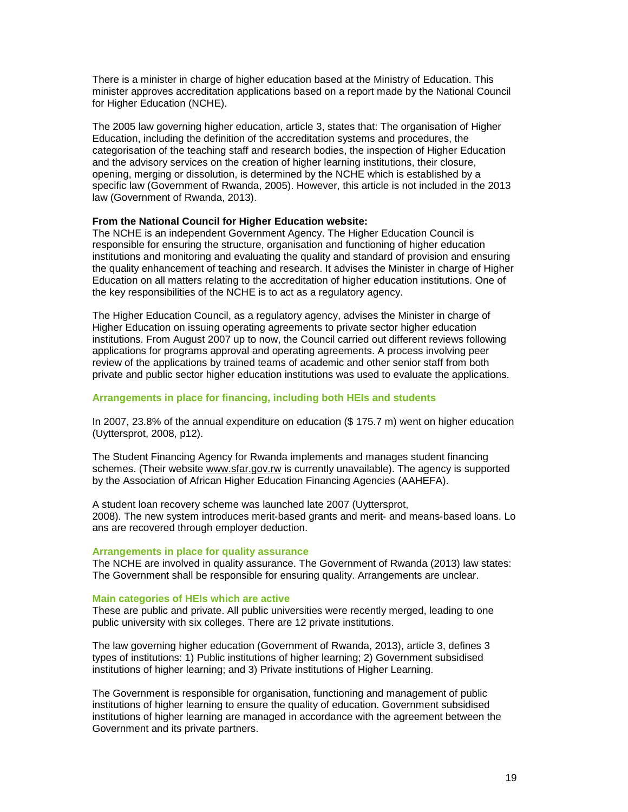There is a minister in charge of higher education based at the Ministry of Education. This minister approves accreditation applications based on a report made by the National Council for Higher Education (NCHE).

The 2005 law governing higher education, article 3, states that: The organisation of Higher Education, including the definition of the accreditation systems and procedures, the categorisation of the teaching staff and research bodies, the inspection of Higher Education and the advisory services on the creation of higher learning institutions, their closure, opening, merging or dissolution, is determined by the NCHE which is established by a specific law (Government of Rwanda, 2005). However, this article is not included in the 2013 law (Government of Rwanda, 2013).

#### **From the National Council for Higher Education website:**

The NCHE is an independent Government Agency. The Higher Education Council is responsible for ensuring the structure, organisation and functioning of higher education institutions and monitoring and evaluating the quality and standard of provision and ensuring the quality enhancement of teaching and research. It advises the Minister in charge of Higher Education on all matters relating to the accreditation of higher education institutions. One of the key responsibilities of the NCHE is to act as a regulatory agency.

The Higher Education Council, as a regulatory agency, advises the Minister in charge of Higher Education on issuing operating agreements to private sector higher education institutions. From August 2007 up to now, the Council carried out different reviews following applications for programs approval and operating agreements. A process involving peer review of the applications by trained teams of academic and other senior staff from both private and public sector higher education institutions was used to evaluate the applications.

#### **Arrangements in place for financing, including both HEIs and students**

In 2007, 23.8% of the annual expenditure on education (\$ 175.7 m) went on higher education (Uyttersprot, 2008, p12).

The Student Financing Agency for Rwanda implements and manages student financing schemes. (Their website [www.sfar.gov.rw](http://www.uzaze.com/directory/Rwanda-Business-Directory/government-agencies/student-financing-agency-for-rwanda-sfar/visit) is currently unavailable). The agency is supported by the Association of African Higher Education Financing Agencies (AAHEFA).

A student loan recovery scheme was launched late 2007 (Uyttersprot, 2008). The new system introduces merit‐based grants and merit‐ and means‐based loans. Lo ans are recovered through employer deduction.

#### **Arrangements in place for quality assurance**

The NCHE are involved in quality assurance. The Government of Rwanda (2013) law states: The Government shall be responsible for ensuring quality. Arrangements are unclear.

#### **Main categories of HEIs which are active**

These are public and private. All public universities were recently merged, leading to one public university with six colleges. There are 12 private institutions.

The law governing higher education (Government of Rwanda, 2013), article 3, defines 3 types of institutions: 1) Public institutions of higher learning; 2) Government subsidised institutions of higher learning; and 3) Private institutions of Higher Learning.

The Government is responsible for organisation, functioning and management of public institutions of higher learning to ensure the quality of education. Government subsidised institutions of higher learning are managed in accordance with the agreement between the Government and its private partners.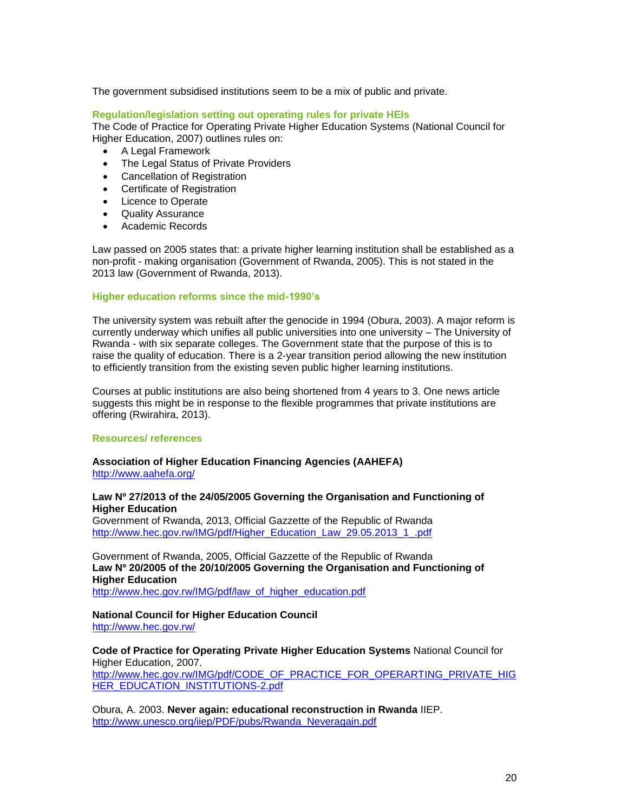The government subsidised institutions seem to be a mix of public and private.

## **Regulation/legislation setting out operating rules for private HEIs**

The Code of Practice for Operating Private Higher Education Systems (National Council for Higher Education, 2007) outlines rules on:

- A Legal Framework
- The Legal Status of Private Providers
- Cancellation of Registration
- Certificate of Registration
- Licence to Operate
- Quality Assurance
- Academic Records

Law passed on 2005 states that: a private higher learning institution shall be established as a non-profit - making organisation (Government of Rwanda, 2005). This is not stated in the 2013 law (Government of Rwanda, 2013).

#### **Higher education reforms since the mid-1990's**

The university system was rebuilt after the genocide in 1994 (Obura, 2003). A major reform is currently underway which unifies all public universities into one university – The University of Rwanda - with six separate colleges. The Government state that the purpose of this is to raise the quality of education. There is a 2-year transition period allowing the new institution to efficiently transition from the existing seven public higher learning institutions.

Courses at public institutions are also being shortened from 4 years to 3. One news article suggests this might be in response to the flexible programmes that private institutions are offering (Rwirahira, 2013).

#### **Resources/ references**

#### **Association of Higher Education Financing Agencies (AAHEFA)** <http://www.aahefa.org/>

#### **Law Nº 27/2013 of the 24/05/2005 Governing the Organisation and Functioning of Higher Education**

Government of Rwanda, 2013, Official Gazzette of the Republic of Rwanda [http://www.hec.gov.rw/IMG/pdf/Higher\\_Education\\_Law\\_29.05.2013\\_1\\_.pdf](http://www.hec.gov.rw/IMG/pdf/Higher_Education_Law_29.05.2013_1_.pdf)

Government of Rwanda, 2005, Official Gazzette of the Republic of Rwanda **Law Nº 20/2005 of the 20/10/2005 Governing the Organisation and Functioning of Higher Education** [http://www.hec.gov.rw/IMG/pdf/law\\_of\\_higher\\_education.pdf](http://www.hec.gov.rw/IMG/pdf/law_of_higher_education.pdf)

#### **National Council for Higher Education Council** <http://www.hec.gov.rw/>

**Code of Practice for Operating Private Higher Education Systems** National Council for Higher Education, 2007. [http://www.hec.gov.rw/IMG/pdf/CODE\\_OF\\_PRACTICE\\_FOR\\_OPERARTING\\_PRIVATE\\_HIG](http://www.hec.gov.rw/IMG/pdf/CODE_OF_PRACTICE_FOR_OPERARTING_PRIVATE_HIGHER_EDUCATION_INSTITUTIONS-2.pdf) [HER\\_EDUCATION\\_INSTITUTIONS-2.pdf](http://www.hec.gov.rw/IMG/pdf/CODE_OF_PRACTICE_FOR_OPERARTING_PRIVATE_HIGHER_EDUCATION_INSTITUTIONS-2.pdf)

Obura, A. 2003. **Never again: educational reconstruction in Rwanda** IIEP. [http://www.unesco.org/iiep/PDF/pubs/Rwanda\\_Neveragain.pdf](http://www.unesco.org/iiep/PDF/pubs/Rwanda_Neveragain.pdf)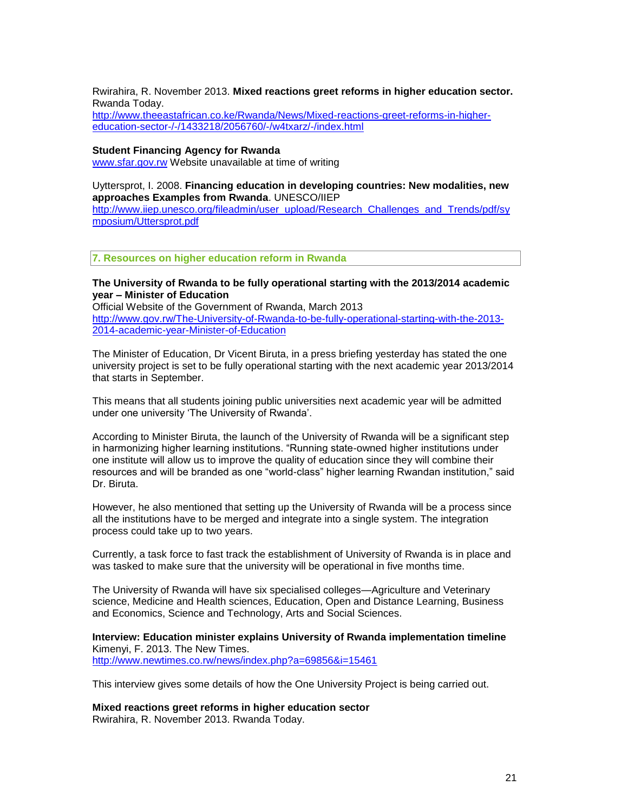Rwirahira, R. November 2013. **Mixed reactions greet reforms in higher education sector.**  Rwanda Today.

[http://www.theeastafrican.co.ke/Rwanda/News/Mixed-reactions-greet-reforms-in-higher](http://www.theeastafrican.co.ke/Rwanda/News/Mixed-reactions-greet-reforms-in-higher-education-sector-/-/1433218/2056760/-/w4txarz/-/index.html)[education-sector-/-/1433218/2056760/-/w4txarz/-/index.html](http://www.theeastafrican.co.ke/Rwanda/News/Mixed-reactions-greet-reforms-in-higher-education-sector-/-/1433218/2056760/-/w4txarz/-/index.html)

#### **Student Financing Agency for Rwanda**

[www.sfar.gov.rw](http://www.uzaze.com/directory/Rwanda-Business-Directory/government-agencies/student-financing-agency-for-rwanda-sfar/visit) Website unavailable at time of writing

Uyttersprot, I. 2008. **Financing education in developing countries: New modalities, new approaches Examples from Rwanda**. UNESCO/IIEP [http://www.iiep.unesco.org/fileadmin/user\\_upload/Research\\_Challenges\\_and\\_Trends/pdf/sy](http://www.iiep.unesco.org/fileadmin/user_upload/Research_Challenges_and_Trends/pdf/symposium/Uttersprot.pdf) [mposium/Uttersprot.pdf](http://www.iiep.unesco.org/fileadmin/user_upload/Research_Challenges_and_Trends/pdf/symposium/Uttersprot.pdf)

**7. Resources on higher education reform in Rwanda**

### **The University of Rwanda to be fully operational starting with the 2013/2014 academic year – Minister of Education**

Official Website of the Government of Rwanda, March 2013 [http://www.gov.rw/The-University-of-Rwanda-to-be-fully-operational-starting-with-the-2013-](http://www.gov.rw/The-University-of-Rwanda-to-be-fully-operational-starting-with-the-2013-2014-academic-year-Minister-of-Education) [2014-academic-year-Minister-of-Education](http://www.gov.rw/The-University-of-Rwanda-to-be-fully-operational-starting-with-the-2013-2014-academic-year-Minister-of-Education)

The Minister of Education, Dr Vicent Biruta, in a press briefing yesterday has stated the one university project is set to be fully operational starting with the next academic year 2013/2014 that starts in September.

This means that all students joining public universities next academic year will be admitted under one university 'The University of Rwanda'.

According to Minister Biruta, the launch of the University of Rwanda will be a significant step in harmonizing higher learning institutions. "Running state-owned higher institutions under one institute will allow us to improve the quality of education since they will combine their resources and will be branded as one "world-class" higher learning Rwandan institution," said Dr. Biruta.

However, he also mentioned that setting up the University of Rwanda will be a process since all the institutions have to be merged and integrate into a single system. The integration process could take up to two years.

Currently, a task force to fast track the establishment of University of Rwanda is in place and was tasked to make sure that the university will be operational in five months time.

The University of Rwanda will have six specialised colleges—Agriculture and Veterinary science, Medicine and Health sciences, Education, Open and Distance Learning, Business and Economics, Science and Technology, Arts and Social Sciences.

**Interview: Education minister explains University of Rwanda implementation timeline** Kimenyi, F. 2013. The New Times. <http://www.newtimes.co.rw/news/index.php?a=69856&i=15461>

This interview gives some details of how the One University Project is being carried out.

**Mixed reactions greet reforms in higher education sector** Rwirahira, R. November 2013. Rwanda Today.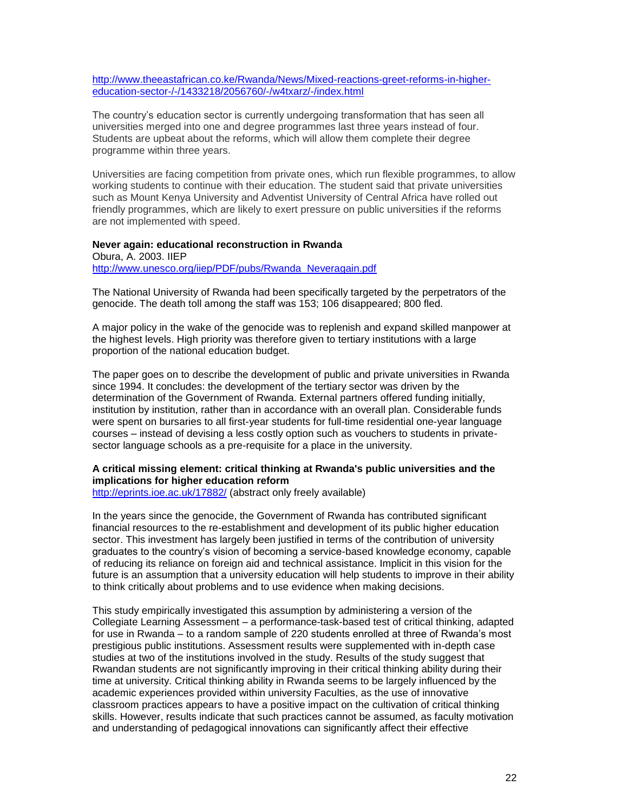[http://www.theeastafrican.co.ke/Rwanda/News/Mixed-reactions-greet-reforms-in-higher](http://www.theeastafrican.co.ke/Rwanda/News/Mixed-reactions-greet-reforms-in-higher-education-sector-/-/1433218/2056760/-/w4txarz/-/index.html)[education-sector-/-/1433218/2056760/-/w4txarz/-/index.html](http://www.theeastafrican.co.ke/Rwanda/News/Mixed-reactions-greet-reforms-in-higher-education-sector-/-/1433218/2056760/-/w4txarz/-/index.html)

The country's education sector is currently undergoing transformation that has seen all universities merged into one and degree programmes last three years instead of four. Students are upbeat about the reforms, which will allow them complete their degree programme within three years.

Universities are facing competition from private ones, which run flexible programmes, to allow working students to continue with their education. The student said that private universities such as Mount Kenya University and Adventist University of Central Africa have rolled out friendly programmes, which are likely to exert pressure on public universities if the reforms are not implemented with speed.

#### **Never again: educational reconstruction in Rwanda**

Obura, A. 2003. IIEP [http://www.unesco.org/iiep/PDF/pubs/Rwanda\\_Neveragain.pdf](http://www.unesco.org/iiep/PDF/pubs/Rwanda_Neveragain.pdf)

The National University of Rwanda had been specifically targeted by the perpetrators of the genocide. The death toll among the staff was 153; 106 disappeared; 800 fled.

A major policy in the wake of the genocide was to replenish and expand skilled manpower at the highest levels. High priority was therefore given to tertiary institutions with a large proportion of the national education budget.

The paper goes on to describe the development of public and private universities in Rwanda since 1994. It concludes: the development of the tertiary sector was driven by the determination of the Government of Rwanda. External partners offered funding initially, institution by institution, rather than in accordance with an overall plan. Considerable funds were spent on bursaries to all first-year students for full-time residential one-year language courses – instead of devising a less costly option such as vouchers to students in privatesector language schools as a pre-requisite for a place in the university.

# **A critical missing element: critical thinking at Rwanda's public universities and the implications for higher education reform**

<http://eprints.ioe.ac.uk/17882/> (abstract only freely available)

In the years since the genocide, the Government of Rwanda has contributed significant financial resources to the re-establishment and development of its public higher education sector. This investment has largely been justified in terms of the contribution of university graduates to the country's vision of becoming a service-based knowledge economy, capable of reducing its reliance on foreign aid and technical assistance. Implicit in this vision for the future is an assumption that a university education will help students to improve in their ability to think critically about problems and to use evidence when making decisions.

This study empirically investigated this assumption by administering a version of the Collegiate Learning Assessment – a performance-task-based test of critical thinking, adapted for use in Rwanda – to a random sample of 220 students enrolled at three of Rwanda's most prestigious public institutions. Assessment results were supplemented with in-depth case studies at two of the institutions involved in the study. Results of the study suggest that Rwandan students are not significantly improving in their critical thinking ability during their time at university. Critical thinking ability in Rwanda seems to be largely influenced by the academic experiences provided within university Faculties, as the use of innovative classroom practices appears to have a positive impact on the cultivation of critical thinking skills. However, results indicate that such practices cannot be assumed, as faculty motivation and understanding of pedagogical innovations can significantly affect their effective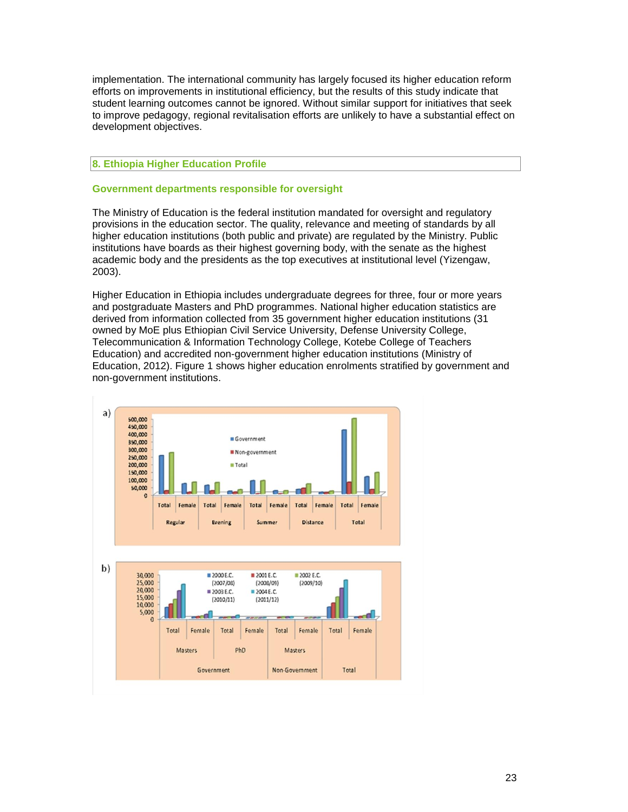implementation. The international community has largely focused its higher education reform efforts on improvements in institutional efficiency, but the results of this study indicate that student learning outcomes cannot be ignored. Without similar support for initiatives that seek to improve pedagogy, regional revitalisation efforts are unlikely to have a substantial effect on development objectives.

# **8. Ethiopia Higher Education Profile**

# **Government departments responsible for oversight**

The Ministry of Education is the federal institution mandated for oversight and regulatory provisions in the education sector. The quality, relevance and meeting of standards by all higher education institutions (both public and private) are regulated by the Ministry. Public institutions have boards as their highest governing body, with the senate as the highest academic body and the presidents as the top executives at institutional level (Yizengaw, 2003).

Higher Education in Ethiopia includes undergraduate degrees for three, four or more years and postgraduate Masters and PhD programmes. National higher education statistics are derived from information collected from 35 government higher education institutions (31 owned by MoE plus Ethiopian Civil Service University, Defense University College, Telecommunication & Information Technology College, Kotebe College of Teachers Education) and accredited non-government higher education institutions (Ministry of Education, 2012). Figure 1 shows higher education enrolments stratified by government and non-government institutions.

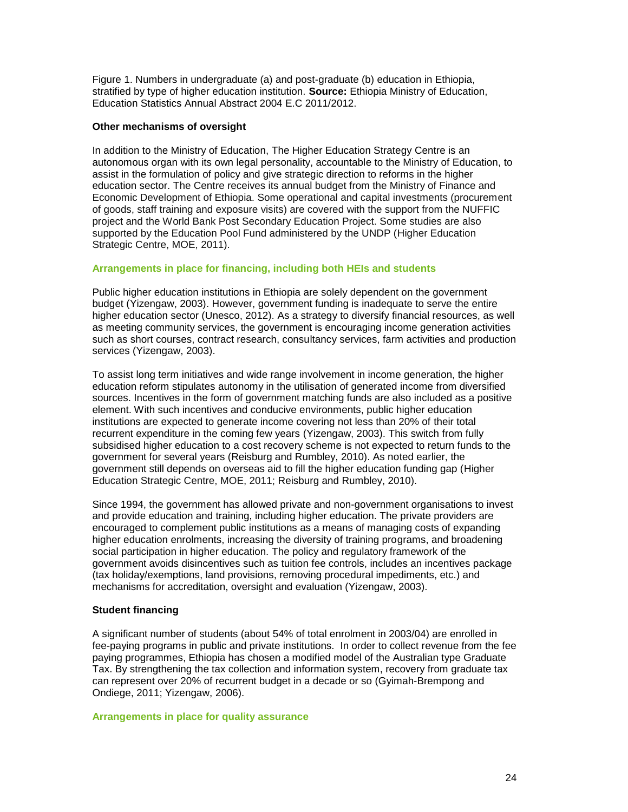Figure 1. Numbers in undergraduate (a) and post-graduate (b) education in Ethiopia, stratified by type of higher education institution. **Source:** Ethiopia Ministry of Education, Education Statistics Annual Abstract 2004 E.C 2011/2012.

# **Other mechanisms of oversight**

In addition to the Ministry of Education, The Higher Education Strategy Centre is an autonomous organ with its own legal personality, accountable to the Ministry of Education, to assist in the formulation of policy and give strategic direction to reforms in the higher education sector. The Centre receives its annual budget from the Ministry of Finance and Economic Development of Ethiopia. Some operational and capital investments (procurement of goods, staff training and exposure visits) are covered with the support from the NUFFIC project and the World Bank Post Secondary Education Project. Some studies are also supported by the Education Pool Fund administered by the UNDP (Higher Education Strategic Centre, MOE, 2011).

#### **Arrangements in place for financing, including both HEIs and students**

Public higher education institutions in Ethiopia are solely dependent on the government budget (Yizengaw, 2003). However, government funding is inadequate to serve the entire higher education sector (Unesco, 2012). As a strategy to diversify financial resources, as well as meeting community services, the government is encouraging income generation activities such as short courses, contract research, consultancy services, farm activities and production services (Yizengaw, 2003).

To assist long term initiatives and wide range involvement in income generation, the higher education reform stipulates autonomy in the utilisation of generated income from diversified sources. Incentives in the form of government matching funds are also included as a positive element. With such incentives and conducive environments, public higher education institutions are expected to generate income covering not less than 20% of their total recurrent expenditure in the coming few years (Yizengaw, 2003). This switch from fully subsidised higher education to a cost recovery scheme is not expected to return funds to the government for several years (Reisburg and Rumbley, 2010). As noted earlier, the government still depends on overseas aid to fill the higher education funding gap (Higher Education Strategic Centre, MOE, 2011; Reisburg and Rumbley, 2010).

Since 1994, the government has allowed private and non-government organisations to invest and provide education and training, including higher education. The private providers are encouraged to complement public institutions as a means of managing costs of expanding higher education enrolments, increasing the diversity of training programs, and broadening social participation in higher education. The policy and regulatory framework of the government avoids disincentives such as tuition fee controls, includes an incentives package (tax holiday/exemptions, land provisions, removing procedural impediments, etc.) and mechanisms for accreditation, oversight and evaluation (Yizengaw, 2003).

# **Student financing**

A significant number of students (about 54% of total enrolment in 2003/04) are enrolled in fee-paying programs in public and private institutions. In order to collect revenue from the fee paying programmes, Ethiopia has chosen a modified model of the Australian type Graduate Tax. By strengthening the tax collection and information system, recovery from graduate tax can represent over 20% of recurrent budget in a decade or so (Gyimah-Brempong and Ondiege, 2011; Yizengaw, 2006).

#### **Arrangements in place for quality assurance**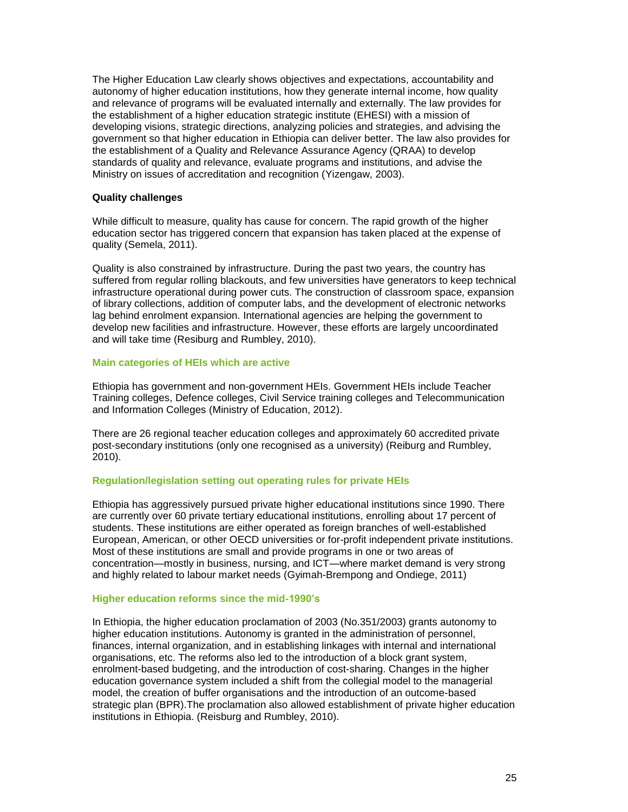The Higher Education Law clearly shows objectives and expectations, accountability and autonomy of higher education institutions, how they generate internal income, how quality and relevance of programs will be evaluated internally and externally. The law provides for the establishment of a higher education strategic institute (EHESI) with a mission of developing visions, strategic directions, analyzing policies and strategies, and advising the government so that higher education in Ethiopia can deliver better. The law also provides for the establishment of a Quality and Relevance Assurance Agency (QRAA) to develop standards of quality and relevance, evaluate programs and institutions, and advise the Ministry on issues of accreditation and recognition (Yizengaw, 2003).

# **Quality challenges**

While difficult to measure, quality has cause for concern. The rapid growth of the higher education sector has triggered concern that expansion has taken placed at the expense of quality (Semela, 2011).

Quality is also constrained by infrastructure. During the past two years, the country has suffered from regular rolling blackouts, and few universities have generators to keep technical infrastructure operational during power cuts. The construction of classroom space, expansion of library collections, addition of computer labs, and the development of electronic networks lag behind enrolment expansion. International agencies are helping the government to develop new facilities and infrastructure. However, these efforts are largely uncoordinated and will take time (Resiburg and Rumbley, 2010).

#### **Main categories of HEIs which are active**

Ethiopia has government and non-government HEIs. Government HEIs include Teacher Training colleges, Defence colleges, Civil Service training colleges and Telecommunication and Information Colleges (Ministry of Education, 2012).

There are 26 regional teacher education colleges and approximately 60 accredited private post-secondary institutions (only one recognised as a university) (Reiburg and Rumbley, 2010).

# **Regulation/legislation setting out operating rules for private HEIs**

Ethiopia has aggressively pursued private higher educational institutions since 1990. There are currently over 60 private tertiary educational institutions, enrolling about 17 percent of students. These institutions are either operated as foreign branches of well-established European, American, or other OECD universities or for-profit independent private institutions. Most of these institutions are small and provide programs in one or two areas of concentration—mostly in business, nursing, and ICT—where market demand is very strong and highly related to labour market needs (Gyimah-Brempong and Ondiege, 2011)

# **Higher education reforms since the mid-1990's**

In Ethiopia, the higher education proclamation of 2003 (No.351/2003) grants autonomy to higher education institutions. Autonomy is granted in the administration of personnel, finances, internal organization, and in establishing linkages with internal and international organisations, etc. The reforms also led to the introduction of a block grant system, enrolment-based budgeting, and the introduction of cost-sharing. Changes in the higher education governance system included a shift from the collegial model to the managerial model, the creation of buffer organisations and the introduction of an outcome-based strategic plan (BPR).The proclamation also allowed establishment of private higher education institutions in Ethiopia. (Reisburg and Rumbley, 2010).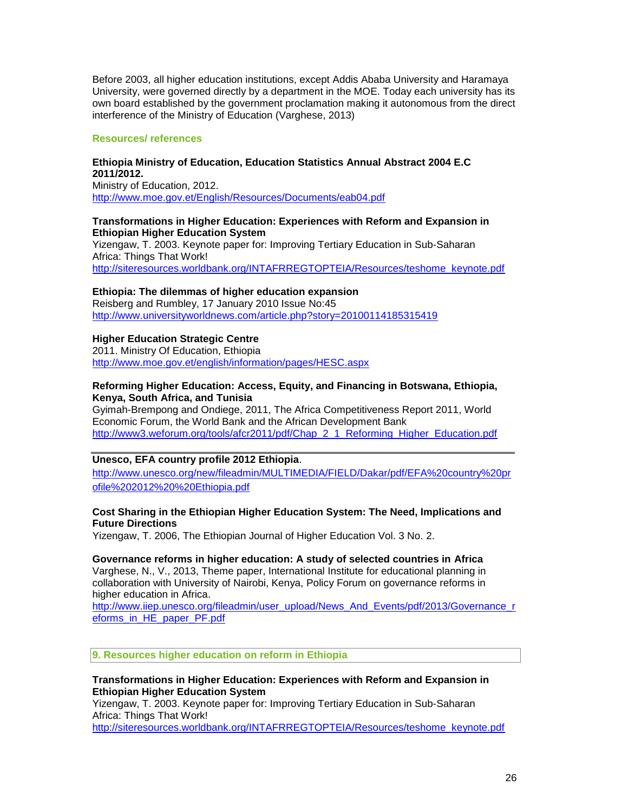Before 2003, all higher education institutions, except Addis Ababa University and Haramaya University, were governed directly by a department in the MOE. Today each university has its own board established by the government proclamation making it autonomous from the direct interference of the Ministry of Education (Varghese, 2013)

# **Resources/ references**

# **Ethiopia Ministry of Education, Education Statistics Annual Abstract 2004 E.C 2011/2012.**

Ministry of Education, 2012. <http://www.moe.gov.et/English/Resources/Documents/eab04.pdf>

# **Transformations in Higher Education: Experiences with Reform and Expansion in Ethiopian Higher Education System**

Yizengaw, T. 2003. Keynote paper for: Improving Tertiary Education in Sub-Saharan Africa: Things That Work! [http://siteresources.worldbank.org/INTAFRREGTOPTEIA/Resources/teshome\\_keynote.pdf](http://siteresources.worldbank.org/INTAFRREGTOPTEIA/Resources/teshome_keynote.pdf)

# **Ethiopia: The dilemmas of higher education expansion**

Reisberg and Rumbley, 17 January 2010 Issue No:45 <http://www.universityworldnews.com/article.php?story=20100114185315419>

# **Higher Education Strategic Centre**

2011. Ministry Of Education, Ethiopia <http://www.moe.gov.et/english/information/pages/HESC.aspx>

# **Reforming Higher Education: Access, Equity, and Financing in Botswana, Ethiopia, Kenya, South Africa, and Tunisia**

Gyimah-Brempong and Ondiege, 2011, The Africa Competitiveness Report 2011, World Economic Forum, the World Bank and the African Development Bank [http://www3.weforum.org/tools/afcr2011/pdf/Chap\\_2\\_1\\_Reforming\\_Higher\\_Education.pdf](http://www3.weforum.org/tools/afcr2011/pdf/Chap_2_1_Reforming_Higher_Education.pdf)

# **Unesco, EFA country profile 2012 Ethiopia**.

[http://www.unesco.org/new/fileadmin/MULTIMEDIA/FIELD/Dakar/pdf/EFA%20country%20pr](http://www.unesco.org/new/fileadmin/MULTIMEDIA/FIELD/Dakar/pdf/EFA%20country%20profile%202012%20%20Ethiopia.pdf) [ofile%202012%20%20Ethiopia.pdf](http://www.unesco.org/new/fileadmin/MULTIMEDIA/FIELD/Dakar/pdf/EFA%20country%20profile%202012%20%20Ethiopia.pdf)

# **Cost Sharing in the Ethiopian Higher Education System: The Need, Implications and Future Directions**

Yizengaw, T. 2006, The Ethiopian Journal of Higher Education Vol. 3 No. 2.

**Governance reforms in higher education: A study of selected countries in Africa** Varghese, N., V., 2013, Theme paper, International Institute for educational planning in collaboration with University of Nairobi, Kenya, Policy Forum on governance reforms in higher education in Africa.

[http://www.iiep.unesco.org/fileadmin/user\\_upload/News\\_And\\_Events/pdf/2013/Governance\\_r](http://www.iiep.unesco.org/fileadmin/user_upload/News_And_Events/pdf/2013/Governance_reforms_in_HE_paper_PF.pdf) [eforms\\_in\\_HE\\_paper\\_PF.pdf](http://www.iiep.unesco.org/fileadmin/user_upload/News_And_Events/pdf/2013/Governance_reforms_in_HE_paper_PF.pdf)

# **9. Resources higher education on reform in Ethiopia**

# **Transformations in Higher Education: Experiences with Reform and Expansion in Ethiopian Higher Education System**

Yizengaw, T. 2003. Keynote paper for: Improving Tertiary Education in Sub-Saharan Africa: Things That Work!

[http://siteresources.worldbank.org/INTAFRREGTOPTEIA/Resources/teshome\\_keynote.pdf](http://siteresources.worldbank.org/INTAFRREGTOPTEIA/Resources/teshome_keynote.pdf)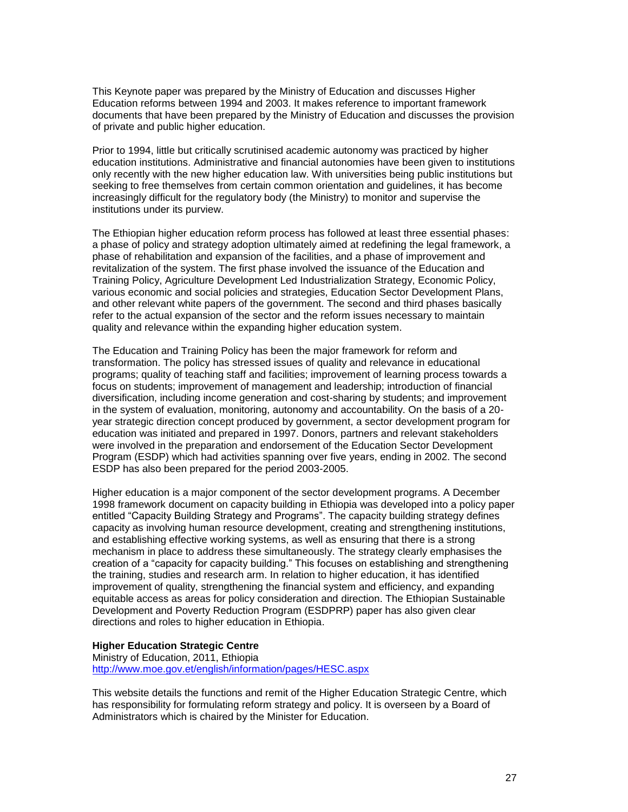This Keynote paper was prepared by the Ministry of Education and discusses Higher Education reforms between 1994 and 2003. It makes reference to important framework documents that have been prepared by the Ministry of Education and discusses the provision of private and public higher education.

Prior to 1994, little but critically scrutinised academic autonomy was practiced by higher education institutions. Administrative and financial autonomies have been given to institutions only recently with the new higher education law. With universities being public institutions but seeking to free themselves from certain common orientation and guidelines, it has become increasingly difficult for the regulatory body (the Ministry) to monitor and supervise the institutions under its purview.

The Ethiopian higher education reform process has followed at least three essential phases: a phase of policy and strategy adoption ultimately aimed at redefining the legal framework, a phase of rehabilitation and expansion of the facilities, and a phase of improvement and revitalization of the system. The first phase involved the issuance of the Education and Training Policy, Agriculture Development Led Industrialization Strategy, Economic Policy, various economic and social policies and strategies, Education Sector Development Plans, and other relevant white papers of the government. The second and third phases basically refer to the actual expansion of the sector and the reform issues necessary to maintain quality and relevance within the expanding higher education system.

The Education and Training Policy has been the major framework for reform and transformation. The policy has stressed issues of quality and relevance in educational programs; quality of teaching staff and facilities; improvement of learning process towards a focus on students; improvement of management and leadership; introduction of financial diversification, including income generation and cost-sharing by students; and improvement in the system of evaluation, monitoring, autonomy and accountability. On the basis of a 20 year strategic direction concept produced by government, a sector development program for education was initiated and prepared in 1997. Donors, partners and relevant stakeholders were involved in the preparation and endorsement of the Education Sector Development Program (ESDP) which had activities spanning over five years, ending in 2002. The second ESDP has also been prepared for the period 2003-2005.

Higher education is a major component of the sector development programs. A December 1998 framework document on capacity building in Ethiopia was developed into a policy paper entitled "Capacity Building Strategy and Programs". The capacity building strategy defines capacity as involving human resource development, creating and strengthening institutions, and establishing effective working systems, as well as ensuring that there is a strong mechanism in place to address these simultaneously. The strategy clearly emphasises the creation of a "capacity for capacity building." This focuses on establishing and strengthening the training, studies and research arm. In relation to higher education, it has identified improvement of quality, strengthening the financial system and efficiency, and expanding equitable access as areas for policy consideration and direction. The Ethiopian Sustainable Development and Poverty Reduction Program (ESDPRP) paper has also given clear directions and roles to higher education in Ethiopia.

## **Higher Education Strategic Centre**

Ministry of Education, 2011, Ethiopia <http://www.moe.gov.et/english/information/pages/HESC.aspx>

This website details the functions and remit of the Higher Education Strategic Centre, which has responsibility for formulating reform strategy and policy. It is overseen by a Board of Administrators which is chaired by the Minister for Education.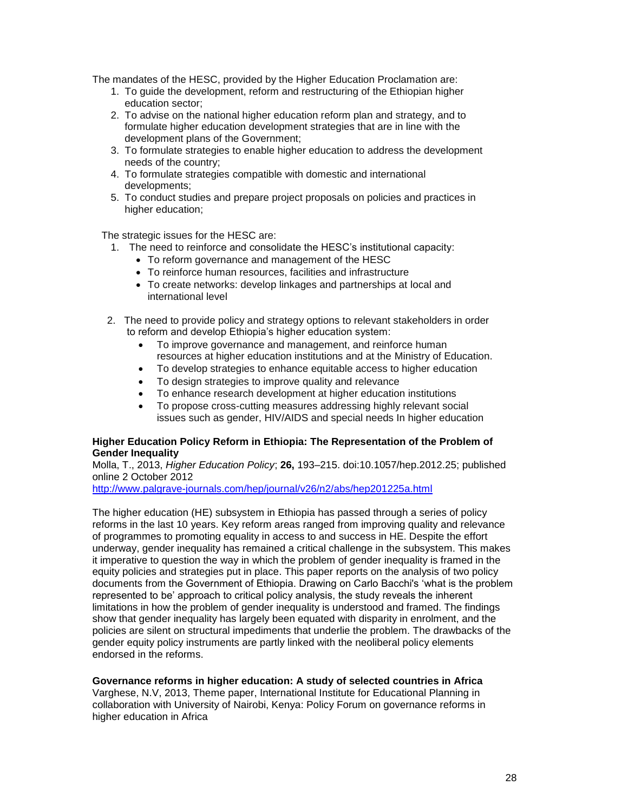The mandates of the HESC, provided by the Higher Education Proclamation are:

- 1. To guide the development, reform and restructuring of the Ethiopian higher education sector;
- 2. To advise on the national higher education reform plan and strategy, and to formulate higher education development strategies that are in line with the development plans of the Government;
- 3. To formulate strategies to enable higher education to address the development needs of the country;
- 4. To formulate strategies compatible with domestic and international developments;
- 5. To conduct studies and prepare project proposals on policies and practices in higher education;

The strategic issues for the HESC are:

- 1. The need to reinforce and consolidate the HESC's institutional capacity:
	- To reform governance and management of the HESC
	- To reinforce human resources, facilities and infrastructure
	- To create networks: develop linkages and partnerships at local and international level
- 2. The need to provide policy and strategy options to relevant stakeholders in order to reform and develop Ethiopia's higher education system:
	- To improve governance and management, and reinforce human resources at higher education institutions and at the Ministry of Education.
	- To develop strategies to enhance equitable access to higher education
	- To design strategies to improve quality and relevance
	- To enhance research development at higher education institutions
	- To propose cross-cutting measures addressing highly relevant social issues such as gender, HIV/AIDS and special needs In higher education

# **Higher Education Policy Reform in Ethiopia: The Representation of the Problem of Gender Inequality**

Molla, T., 2013, *Higher Education Policy*; **26,** 193–215. doi:10.1057/hep.2012.25; published online 2 October 2012

<http://www.palgrave-journals.com/hep/journal/v26/n2/abs/hep201225a.html>

The higher education (HE) subsystem in Ethiopia has passed through a series of policy reforms in the last 10 years. Key reform areas ranged from improving quality and relevance of programmes to promoting equality in access to and success in HE. Despite the effort underway, gender inequality has remained a critical challenge in the subsystem. This makes it imperative to question the way in which the problem of gender inequality is framed in the equity policies and strategies put in place. This paper reports on the analysis of two policy documents from the Government of Ethiopia. Drawing on Carlo Bacchi's 'what is the problem represented to be' approach to critical policy analysis, the study reveals the inherent limitations in how the problem of gender inequality is understood and framed. The findings show that gender inequality has largely been equated with disparity in enrolment, and the policies are silent on structural impediments that underlie the problem. The drawbacks of the gender equity policy instruments are partly linked with the neoliberal policy elements endorsed in the reforms.

# **Governance reforms in higher education: A study of selected countries in Africa**

Varghese, N.V, 2013, Theme paper, International Institute for Educational Planning in collaboration with University of Nairobi, Kenya: Policy Forum on governance reforms in higher education in Africa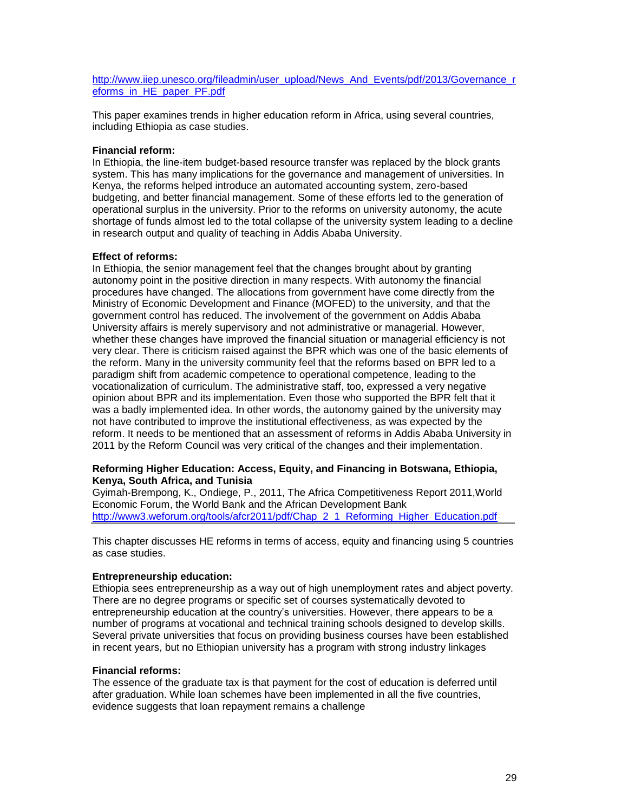[http://www.iiep.unesco.org/fileadmin/user\\_upload/News\\_And\\_Events/pdf/2013/Governance\\_r](http://www.iiep.unesco.org/fileadmin/user_upload/News_And_Events/pdf/2013/Governance_reforms_in_HE_paper_PF.pdf) [eforms\\_in\\_HE\\_paper\\_PF.pdf](http://www.iiep.unesco.org/fileadmin/user_upload/News_And_Events/pdf/2013/Governance_reforms_in_HE_paper_PF.pdf)

This paper examines trends in higher education reform in Africa, using several countries, including Ethiopia as case studies.

# **Financial reform:**

In Ethiopia, the line-item budget-based resource transfer was replaced by the block grants system. This has many implications for the governance and management of universities. In Kenya, the reforms helped introduce an automated accounting system, zero-based budgeting, and better financial management. Some of these efforts led to the generation of operational surplus in the university. Prior to the reforms on university autonomy, the acute shortage of funds almost led to the total collapse of the university system leading to a decline in research output and quality of teaching in Addis Ababa University.

# **Effect of reforms:**

In Ethiopia, the senior management feel that the changes brought about by granting autonomy point in the positive direction in many respects. With autonomy the financial procedures have changed. The allocations from government have come directly from the Ministry of Economic Development and Finance (MOFED) to the university, and that the government control has reduced. The involvement of the government on Addis Ababa University affairs is merely supervisory and not administrative or managerial. However, whether these changes have improved the financial situation or managerial efficiency is not very clear. There is criticism raised against the BPR which was one of the basic elements of the reform. Many in the university community feel that the reforms based on BPR led to a paradigm shift from academic competence to operational competence, leading to the vocationalization of curriculum. The administrative staff, too, expressed a very negative opinion about BPR and its implementation. Even those who supported the BPR felt that it was a badly implemented idea. In other words, the autonomy gained by the university may not have contributed to improve the institutional effectiveness, as was expected by the reform. It needs to be mentioned that an assessment of reforms in Addis Ababa University in 2011 by the Reform Council was very critical of the changes and their implementation.

# **Reforming Higher Education: Access, Equity, and Financing in Botswana, Ethiopia, Kenya, South Africa, and Tunisia**

Gyimah-Brempong, K., Ondiege, P., 2011, The Africa Competitiveness Report 2011,World Economic Forum, the World Bank and the African Development Bank [http://www3.weforum.org/tools/afcr2011/pdf/Chap\\_2\\_1\\_Reforming\\_Higher\\_Education.pdf](http://www3.weforum.org/tools/afcr2011/pdf/Chap_2_1_Reforming_Higher_Education.pdf)

This chapter discusses HE reforms in terms of access, equity and financing using 5 countries as case studies.

# **Entrepreneurship education:**

Ethiopia sees entrepreneurship as a way out of high unemployment rates and abject poverty. There are no degree programs or specific set of courses systematically devoted to entrepreneurship education at the country's universities. However, there appears to be a number of programs at vocational and technical training schools designed to develop skills. Several private universities that focus on providing business courses have been established in recent years, but no Ethiopian university has a program with strong industry linkages

# **Financial reforms:**

The essence of the graduate tax is that payment for the cost of education is deferred until after graduation. While loan schemes have been implemented in all the five countries, evidence suggests that loan repayment remains a challenge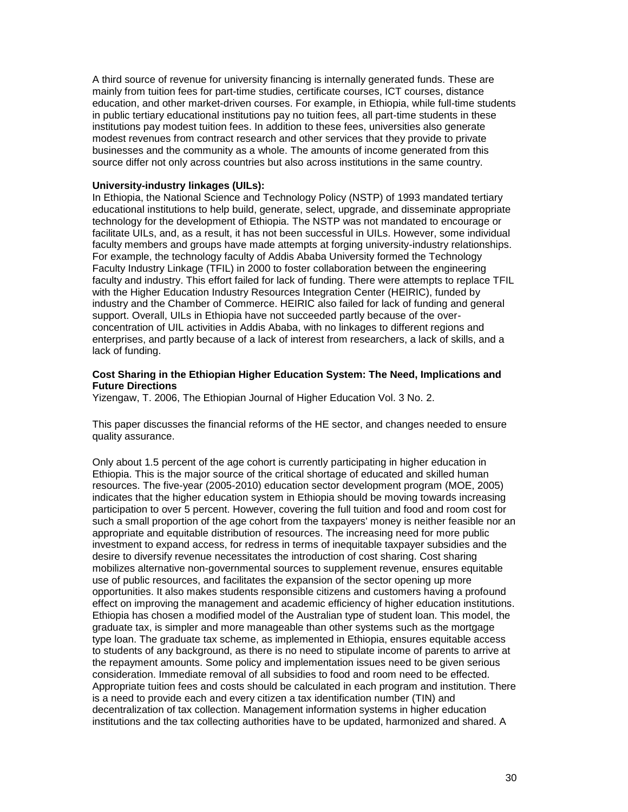A third source of revenue for university financing is internally generated funds. These are mainly from tuition fees for part-time studies, certificate courses, ICT courses, distance education, and other market-driven courses. For example, in Ethiopia, while full-time students in public tertiary educational institutions pay no tuition fees, all part-time students in these institutions pay modest tuition fees. In addition to these fees, universities also generate modest revenues from contract research and other services that they provide to private businesses and the community as a whole. The amounts of income generated from this source differ not only across countries but also across institutions in the same country.

## **University-industry linkages (UILs):**

In Ethiopia, the National Science and Technology Policy (NSTP) of 1993 mandated tertiary educational institutions to help build, generate, select, upgrade, and disseminate appropriate technology for the development of Ethiopia. The NSTP was not mandated to encourage or facilitate UILs, and, as a result, it has not been successful in UILs. However, some individual faculty members and groups have made attempts at forging university-industry relationships. For example, the technology faculty of Addis Ababa University formed the Technology Faculty Industry Linkage (TFIL) in 2000 to foster collaboration between the engineering faculty and industry. This effort failed for lack of funding. There were attempts to replace TFIL with the Higher Education Industry Resources Integration Center (HEIRIC), funded by industry and the Chamber of Commerce. HEIRIC also failed for lack of funding and general support. Overall, UILs in Ethiopia have not succeeded partly because of the overconcentration of UIL activities in Addis Ababa, with no linkages to different regions and enterprises, and partly because of a lack of interest from researchers, a lack of skills, and a lack of funding.

#### **Cost Sharing in the Ethiopian Higher Education System: The Need, Implications and Future Directions**

Yizengaw, T. 2006, The Ethiopian Journal of Higher Education Vol. 3 No. 2.

This paper discusses the financial reforms of the HE sector, and changes needed to ensure quality assurance.

Only about 1.5 percent of the age cohort is currently participating in higher education in Ethiopia. This is the major source of the critical shortage of educated and skilled human resources. The five-year (2005-2010) education sector development program (MOE, 2005) indicates that the higher education system in Ethiopia should be moving towards increasing participation to over 5 percent. However, covering the full tuition and food and room cost for such a small proportion of the age cohort from the taxpayers' money is neither feasible nor an appropriate and equitable distribution of resources. The increasing need for more public investment to expand access, for redress in terms of inequitable taxpayer subsidies and the desire to diversify revenue necessitates the introduction of cost sharing. Cost sharing mobilizes alternative non-governmental sources to supplement revenue, ensures equitable use of public resources, and facilitates the expansion of the sector opening up more opportunities. It also makes students responsible citizens and customers having a profound effect on improving the management and academic efficiency of higher education institutions. Ethiopia has chosen a modified model of the Australian type of student loan. This model, the graduate tax, is simpler and more manageable than other systems such as the mortgage type loan. The graduate tax scheme, as implemented in Ethiopia, ensures equitable access to students of any background, as there is no need to stipulate income of parents to arrive at the repayment amounts. Some policy and implementation issues need to be given serious consideration. Immediate removal of all subsidies to food and room need to be effected. Appropriate tuition fees and costs should be calculated in each program and institution. There is a need to provide each and every citizen a tax identification number (TIN) and decentralization of tax collection. Management information systems in higher education institutions and the tax collecting authorities have to be updated, harmonized and shared. A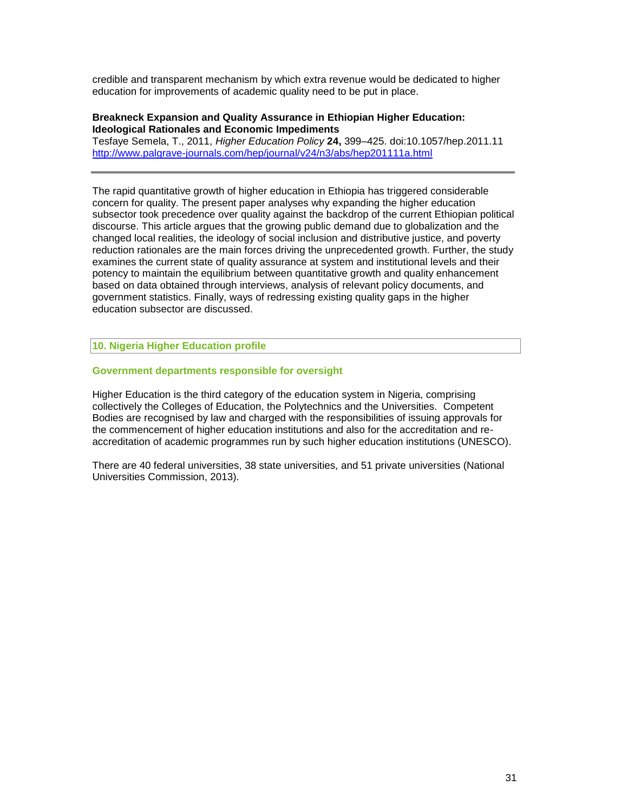credible and transparent mechanism by which extra revenue would be dedicated to higher education for improvements of academic quality need to be put in place.

# **Breakneck Expansion and Quality Assurance in Ethiopian Higher Education: Ideological Rationales and Economic Impediments**

Tesfaye Semela, T., 2011, *Higher Education Policy* **24,** 399–425. doi:10.1057/hep.2011.11 <http://www.palgrave-journals.com/hep/journal/v24/n3/abs/hep201111a.html>

The rapid quantitative growth of higher education in Ethiopia has triggered considerable concern for quality. The present paper analyses why expanding the higher education subsector took precedence over quality against the backdrop of the current Ethiopian political discourse. This article argues that the growing public demand due to globalization and the changed local realities, the ideology of social inclusion and distributive justice, and poverty reduction rationales are the main forces driving the unprecedented growth. Further, the study examines the current state of quality assurance at system and institutional levels and their potency to maintain the equilibrium between quantitative growth and quality enhancement based on data obtained through interviews, analysis of relevant policy documents, and government statistics. Finally, ways of redressing existing quality gaps in the higher education subsector are discussed.

**10. Nigeria Higher Education profile**

#### **Government departments responsible for oversight**

Higher Education is the third category of the education system in Nigeria, comprising collectively the Colleges of Education, the Polytechnics and the Universities. Competent Bodies are recognised by law and charged with the responsibilities of issuing approvals for the commencement of higher education institutions and also for the accreditation and reaccreditation of academic programmes run by such higher education institutions (UNESCO).

There are 40 federal universities, 38 state universities, and 51 private universities (National Universities Commission, 2013).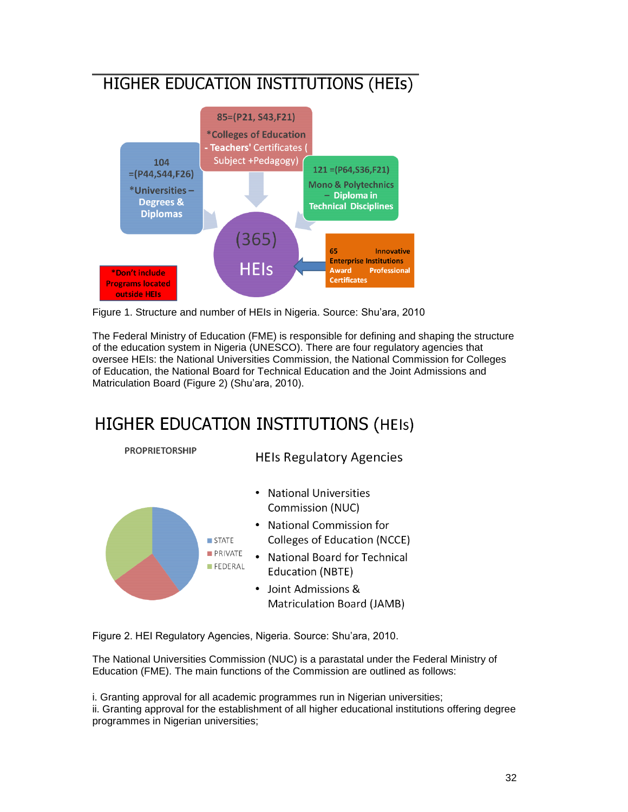# HIGHER EDUCATION INSTITUTIONS (HEIs)



Figure 1. Structure and number of HEIs in Nigeria. Source: Shu'ara, 2010

The Federal Ministry of Education (FME) is responsible for defining and shaping the structure of the education system in Nigeria (UNESCO). There are four regulatory agencies that oversee HEIs: the National Universities Commission, the National Commission for Colleges of Education, the National Board for Technical Education and the Joint Admissions and Matriculation Board (Figure 2) (Shu'ara, 2010).

# **HIGHER EDUCATION INSTITUTIONS (HEIS)**



Figure 2. HEI Regulatory Agencies, Nigeria. Source: Shu'ara, 2010.

The National Universities Commission (NUC) is a parastatal under the Federal Ministry of Education (FME). The main functions of the Commission are outlined as follows:

i. Granting approval for all academic programmes run in Nigerian universities;

ii. Granting approval for the establishment of all higher educational institutions offering degree programmes in Nigerian universities;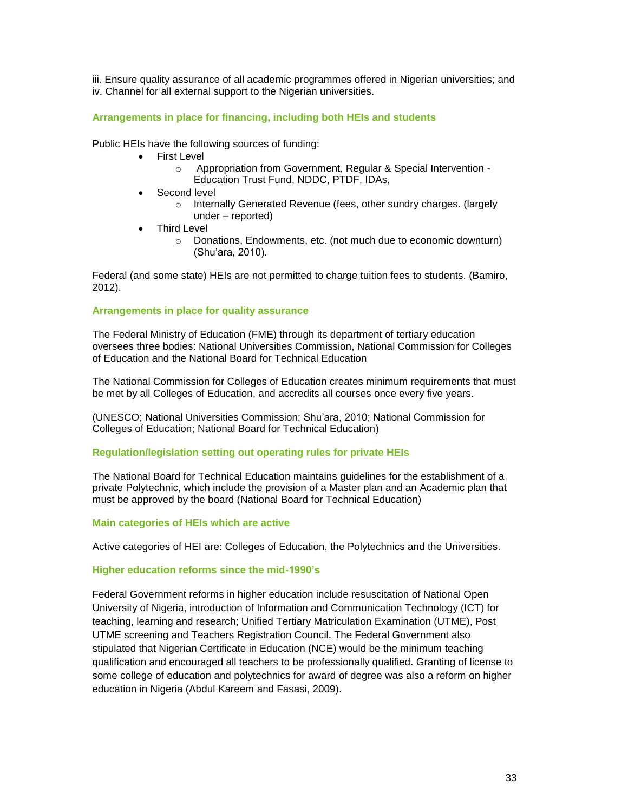iii. Ensure quality assurance of all academic programmes offered in Nigerian universities; and iv. Channel for all external support to the Nigerian universities.

# **Arrangements in place for financing, including both HEIs and students**

Public HEIs have the following sources of funding:

- First Level
	- o Appropriation from Government, Regular & Special Intervention Education Trust Fund, NDDC, PTDF, IDAs,
- Second level
	- o Internally Generated Revenue (fees, other sundry charges. (largely under – reported)
- Third Level
	- o Donations, Endowments, etc. (not much due to economic downturn) (Shu'ara, 2010).

Federal (and some state) HEIs are not permitted to charge tuition fees to students. (Bamiro, 2012).

# **Arrangements in place for quality assurance**

The Federal Ministry of Education (FME) through its department of tertiary education oversees three bodies: National Universities Commission, National Commission for Colleges of Education and the National Board for Technical Education

The National Commission for Colleges of Education creates minimum requirements that must be met by all Colleges of Education, and accredits all courses once every five years.

(UNESCO; National Universities Commission; Shu'ara, 2010; National Commission for Colleges of Education; National Board for Technical Education)

# **Regulation/legislation setting out operating rules for private HEIs**

The National Board for Technical Education maintains guidelines for the establishment of a private Polytechnic, which include the provision of a Master plan and an Academic plan that must be approved by the board (National Board for Technical Education)

# **Main categories of HEIs which are active**

Active categories of HEI are: Colleges of Education, the Polytechnics and the Universities.

# **Higher education reforms since the mid-1990's**

Federal Government reforms in higher education include resuscitation of National Open University of Nigeria, introduction of Information and Communication Technology (ICT) for teaching, learning and research; Unified Tertiary Matriculation Examination (UTME), Post UTME screening and Teachers Registration Council. The Federal Government also stipulated that Nigerian Certificate in Education (NCE) would be the minimum teaching qualification and encouraged all teachers to be professionally qualified. Granting of license to some college of education and polytechnics for award of degree was also a reform on higher education in Nigeria (Abdul Kareem and Fasasi, 2009).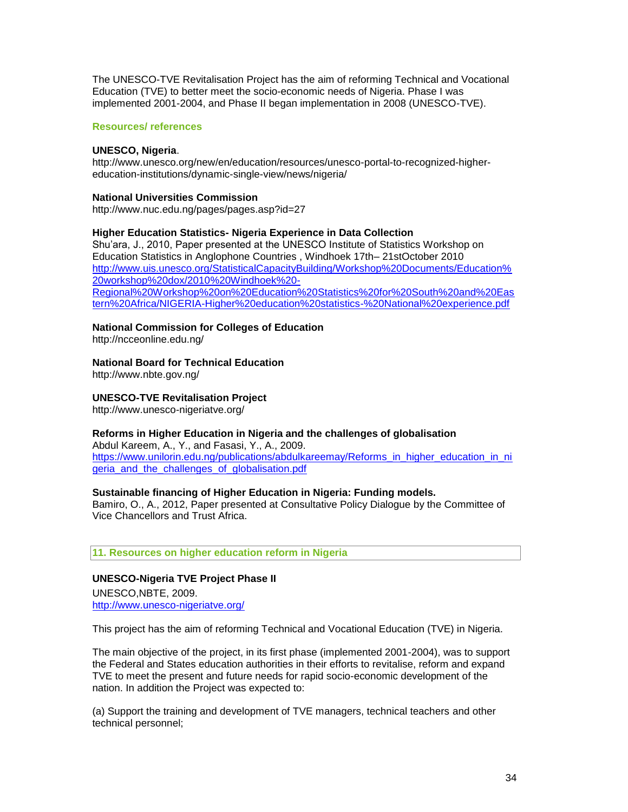The UNESCO-TVE Revitalisation Project has the aim of reforming Technical and Vocational Education (TVE) to better meet the socio-economic needs of Nigeria. Phase I was implemented 2001-2004, and Phase II began implementation in 2008 (UNESCO-TVE).

# **Resources/ references**

# **UNESCO, Nigeria**.

http://www.unesco.org/new/en/education/resources/unesco-portal-to-recognized-highereducation-institutions/dynamic-single-view/news/nigeria/

# **National Universities Commission**

http://www.nuc.edu.ng/pages/pages.asp?id=27

# **Higher Education Statistics- Nigeria Experience in Data Collection**

Shu'ara, J., 2010, Paper presented at the UNESCO Institute of Statistics Workshop on Education Statistics in Anglophone Countries , Windhoek 17th– 21stOctober 2010 [http://www.uis.unesco.org/StatisticalCapacityBuilding/Workshop%20Documents/Education%](http://www.uis.unesco.org/StatisticalCapacityBuilding/Workshop%20Documents/Education%20workshop%20dox/2010%20Windhoek%20-Regional%20Workshop%20on%20Education%20Statistics%20for%20South%20and%20Eastern%20Africa/NIGERIA-Higher%20education%20statistics-%20National%20experience.pdf) [20workshop%20dox/2010%20Windhoek%20-](http://www.uis.unesco.org/StatisticalCapacityBuilding/Workshop%20Documents/Education%20workshop%20dox/2010%20Windhoek%20-Regional%20Workshop%20on%20Education%20Statistics%20for%20South%20and%20Eastern%20Africa/NIGERIA-Higher%20education%20statistics-%20National%20experience.pdf) [Regional%20Workshop%20on%20Education%20Statistics%20for%20South%20and%20Eas](http://www.uis.unesco.org/StatisticalCapacityBuilding/Workshop%20Documents/Education%20workshop%20dox/2010%20Windhoek%20-Regional%20Workshop%20on%20Education%20Statistics%20for%20South%20and%20Eastern%20Africa/NIGERIA-Higher%20education%20statistics-%20National%20experience.pdf) [tern%20Africa/NIGERIA-Higher%20education%20statistics-%20National%20experience.pdf](http://www.uis.unesco.org/StatisticalCapacityBuilding/Workshop%20Documents/Education%20workshop%20dox/2010%20Windhoek%20-Regional%20Workshop%20on%20Education%20Statistics%20for%20South%20and%20Eastern%20Africa/NIGERIA-Higher%20education%20statistics-%20National%20experience.pdf)

**National Commission for Colleges of Education**

http://ncceonline.edu.ng/

**National Board for Technical Education**

http://www.nbte.gov.ng/

**UNESCO-TVE Revitalisation Project**

http://www.unesco-nigeriatve.org/

# **Reforms in Higher Education in Nigeria and the challenges of globalisation**

Abdul Kareem, A., Y., and Fasasi, Y., A., 2009. [https://www.unilorin.edu.ng/publications/abdulkareemay/Reforms\\_in\\_higher\\_education\\_in\\_ni](https://www.unilorin.edu.ng/publications/abdulkareemay/Reforms_in_higher_education_in_nigeria_and_the_challenges_of_globalisation.pdf) [geria\\_and\\_the\\_challenges\\_of\\_globalisation.pdf](https://www.unilorin.edu.ng/publications/abdulkareemay/Reforms_in_higher_education_in_nigeria_and_the_challenges_of_globalisation.pdf)

# **Sustainable financing of Higher Education in Nigeria: Funding models.**

Bamiro, O., A., 2012, Paper presented at Consultative Policy Dialogue by the Committee of Vice Chancellors and Trust Africa.

# **11. Resources on higher education reform in Nigeria**

# **[UNESCO-Nigeria TVE Project Phase II](http://www.unesco-nigeriatve.org/)** UNESCO,NBTE, 2009.

<http://www.unesco-nigeriatve.org/>

This project has the aim of reforming Technical and Vocational Education (TVE) in Nigeria.

The main objective of the project, in its first phase (implemented 2001-2004), was to support the Federal and States education authorities in their efforts to revitalise, reform and expand TVE to meet the present and future needs for rapid socio-economic development of the nation. In addition the Project was expected to:

(a) Support the training and development of TVE managers, technical teachers and other technical personnel;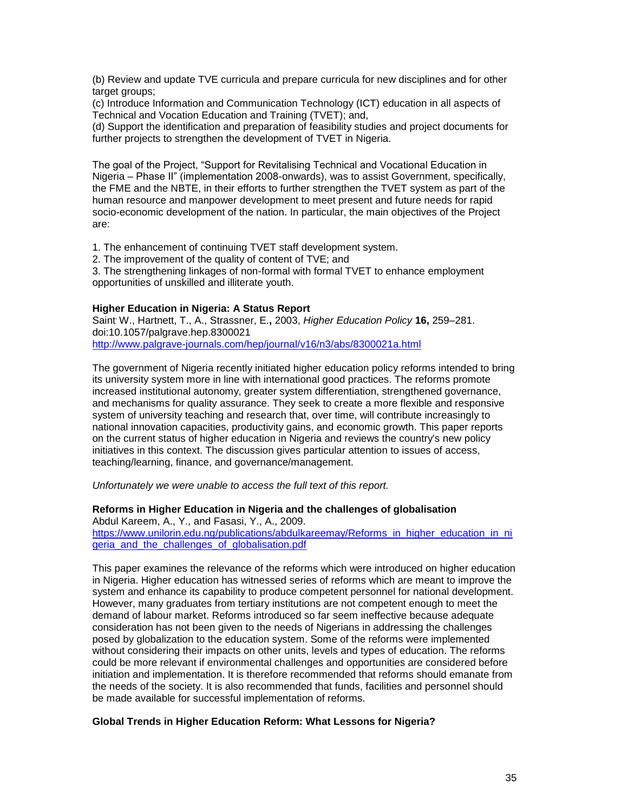(b) Review and update TVE curricula and prepare curricula for new disciplines and for other target groups;

(c) Introduce Information and Communication Technology (ICT) education in all aspects of Technical and Vocation Education and Training (TVET); and,

(d) Support the identification and preparation of feasibility studies and project documents for further projects to strengthen the development of TVET in Nigeria.

The goal of the Project, "Support for Revitalising Technical and Vocational Education in Nigeria – Phase II" (implementation 2008-onwards), was to assist Government, specifically, the FME and the NBTE, in their efforts to further strengthen the TVET system as part of the human resource and manpower development to meet present and future needs for rapid socio-economic development of the nation. In particular, the main objectives of the Project are:

1. The enhancement of continuing TVET staff development system.

2. The improvement of the quality of content of TVE; and

3. The strengthening linkages of non-formal with formal TVET to enhance employment opportunities of unskilled and illiterate youth.

# **Higher Education in Nigeria: A Status Report**

Saint, W., Hartnett, T., A., Strassner, E.**,** 2003, *Higher Education Policy* **16,** 259–281. doi:10.1057/palgrave.hep.8300021 <http://www.palgrave-journals.com/hep/journal/v16/n3/abs/8300021a.html>

The government of Nigeria recently initiated higher education policy reforms intended to bring its university system more in line with international good practices. The reforms promote increased institutional autonomy, greater system differentiation, strengthened governance, and mechanisms for quality assurance. They seek to create a more flexible and responsive system of university teaching and research that, over time, will contribute increasingly to national innovation capacities, productivity gains, and economic growth. This paper reports on the current status of higher education in Nigeria and reviews the country's new policy initiatives in this context. The discussion gives particular attention to issues of access, teaching/learning, finance, and governance/management.

*Unfortunately we were unable to access the full text of this report.*

# **Reforms in Higher Education in Nigeria and the challenges of globalisation**

Abdul Kareem, A., Y., and Fasasi, Y., A., 2009. [https://www.unilorin.edu.ng/publications/abdulkareemay/Reforms\\_in\\_higher\\_education\\_in\\_ni](https://www.unilorin.edu.ng/publications/abdulkareemay/Reforms_in_higher_education_in_nigeria_and_the_challenges_of_globalisation.pdf) [geria\\_and\\_the\\_challenges\\_of\\_globalisation.pdf](https://www.unilorin.edu.ng/publications/abdulkareemay/Reforms_in_higher_education_in_nigeria_and_the_challenges_of_globalisation.pdf)

This paper examines the relevance of the reforms which were introduced on higher education in Nigeria. Higher education has witnessed series of reforms which are meant to improve the system and enhance its capability to produce competent personnel for national development. However, many graduates from tertiary institutions are not competent enough to meet the demand of labour market. Reforms introduced so far seem ineffective because adequate consideration has not been given to the needs of Nigerians in addressing the challenges posed by globalization to the education system. Some of the reforms were implemented without considering their impacts on other units, levels and types of education. The reforms could be more relevant if environmental challenges and opportunities are considered before initiation and implementation. It is therefore recommended that reforms should emanate from the needs of the society. It is also recommended that funds, facilities and personnel should be made available for successful implementation of reforms.

# **Global Trends in Higher Education Reform: What Lessons for Nigeria?**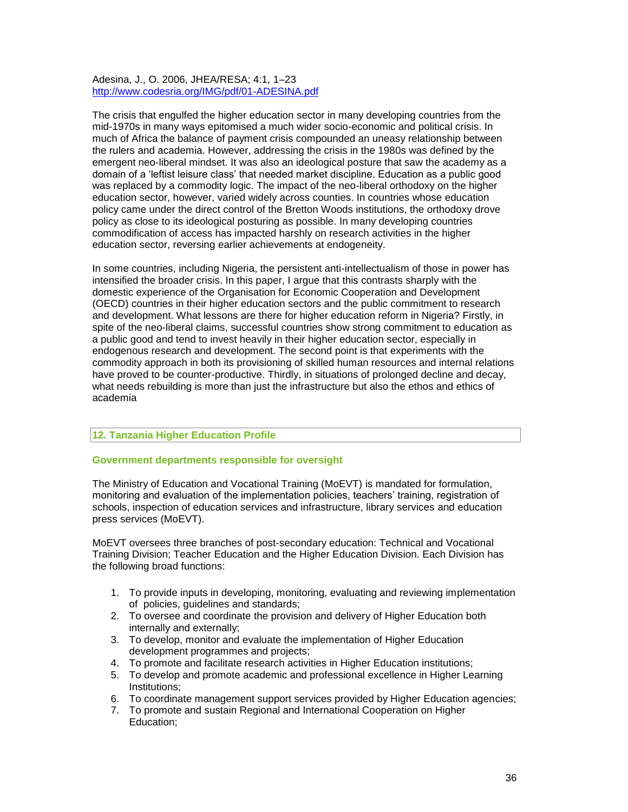Adesina, J., O. 2006, JHEA/RESA; 4:1, 1–23 <http://www.codesria.org/IMG/pdf/01-ADESINA.pdf>

The crisis that engulfed the higher education sector in many developing countries from the mid-1970s in many ways epitomised a much wider socio-economic and political crisis. In much of Africa the balance of payment crisis compounded an uneasy relationship between the rulers and academia. However, addressing the crisis in the 1980s was defined by the emergent neo-liberal mindset. It was also an ideological posture that saw the academy as a domain of a 'leftist leisure class' that needed market discipline. Education as a public good was replaced by a commodity logic. The impact of the neo-liberal orthodoxy on the higher education sector, however, varied widely across counties. In countries whose education policy came under the direct control of the Bretton Woods institutions, the orthodoxy drove policy as close to its ideological posturing as possible. In many developing countries commodification of access has impacted harshly on research activities in the higher education sector, reversing earlier achievements at endogeneity.

In some countries, including Nigeria, the persistent anti-intellectualism of those in power has intensified the broader crisis. In this paper, I argue that this contrasts sharply with the domestic experience of the Organisation for Economic Cooperation and Development (OECD) countries in their higher education sectors and the public commitment to research and development. What lessons are there for higher education reform in Nigeria? Firstly, in spite of the neo-liberal claims, successful countries show strong commitment to education as a public good and tend to invest heavily in their higher education sector, especially in endogenous research and development. The second point is that experiments with the commodity approach in both its provisioning of skilled human resources and internal relations have proved to be counter-productive. Thirdly, in situations of prolonged decline and decay, what needs rebuilding is more than just the infrastructure but also the ethos and ethics of academia

# **12. Tanzania Higher Education Profile**

# **Government departments responsible for oversight**

The Ministry of Education and Vocational Training (MoEVT) is mandated for formulation, monitoring and evaluation of the implementation policies, teachers' training, registration of schools, inspection of education services and infrastructure, library services and education press services (MoEVT).

MoEVT oversees three branches of post-secondary education: Technical and Vocational Training Division; Teacher Education and the Higher Education Division. Each Division has the following broad functions:

- 1. To provide inputs in developing, monitoring, evaluating and reviewing implementation of policies, guidelines and standards;
- 2. To oversee and coordinate the provision and delivery of Higher Education both internally and externally;
- 3. To develop, monitor and evaluate the implementation of Higher Education development programmes and projects;
- 4. To promote and facilitate research activities in Higher Education institutions;
- 5. To develop and promote academic and professional excellence in Higher Learning Institutions;
- 6. To coordinate management support services provided by Higher Education agencies;
- 7. To promote and sustain Regional and International Cooperation on Higher Education;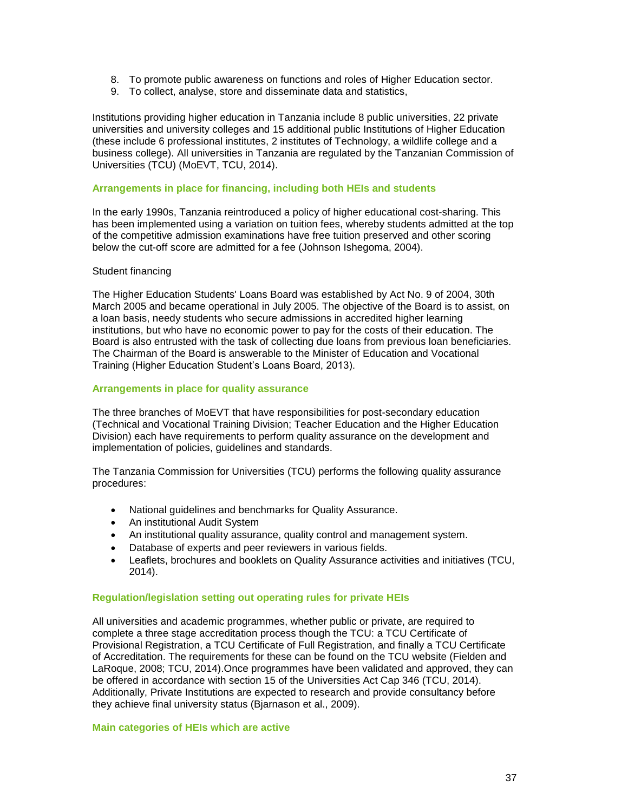- 8. To promote public awareness on functions and roles of Higher Education sector.
- 9. To collect, analyse, store and disseminate data and statistics,

Institutions providing higher education in Tanzania include 8 public universities, 22 private universities and university colleges and 15 additional public Institutions of Higher Education (these include 6 professional institutes, 2 institutes of Technology, a wildlife college and a business college). All universities in Tanzania are regulated by the Tanzanian Commission of Universities (TCU) (MoEVT, TCU, 2014).

#### **Arrangements in place for financing, including both HEIs and students**

In the early 1990s, Tanzania reintroduced a policy of higher educational cost-sharing. This has been implemented using a variation on tuition fees, whereby students admitted at the top of the competitive admission examinations have free tuition preserved and other scoring below the cut-off score are admitted for a fee (Johnson Ishegoma, 2004).

#### Student financing

The Higher Education Students' Loans Board was established by Act No. 9 of 2004, 30th March 2005 and became operational in July 2005. The objective of the Board is to assist, on a loan basis, needy students who secure admissions in accredited higher learning institutions, but who have no economic power to pay for the costs of their education. The Board is also entrusted with the task of collecting due loans from previous loan beneficiaries. The Chairman of the Board is answerable to the Minister of Education and Vocational Training (Higher Education Student's Loans Board, 2013).

#### **Arrangements in place for quality assurance**

The three branches of MoEVT that have responsibilities for post-secondary education (Technical and Vocational Training Division; Teacher Education and the Higher Education Division) each have requirements to perform quality assurance on the development and implementation of policies, guidelines and standards.

The Tanzania Commission for Universities (TCU) performs the following quality assurance procedures:

- National guidelines and benchmarks for Quality Assurance.
- An institutional Audit System
- An institutional quality assurance, quality control and management system.
- Database of experts and peer reviewers in various fields.
- Leaflets, brochures and booklets on Quality Assurance activities and initiatives (TCU, 2014).

#### **Regulation/legislation setting out operating rules for private HEIs**

All universities and academic programmes, whether public or private, are required to complete a three stage accreditation process though the TCU: a TCU Certificate of Provisional Registration, a TCU Certificate of Full Registration, and finally a TCU Certificate of Accreditation. The requirements for these can be found on the TCU website (Fielden and LaRoque, 2008; TCU, 2014).Once programmes have been validated and approved, they can be offered in accordance with section 15 of the [Universities Act Cap 346 \(TCU, 2014\).](http://www.tcu.go.tz/images/pdf/the%20universities%20act%20cap%20346.pdf) Additionally, Private Institutions are expected to research and provide consultancy before they achieve final university status (Bjarnason et al., 2009).

#### **Main categories of HEIs which are active**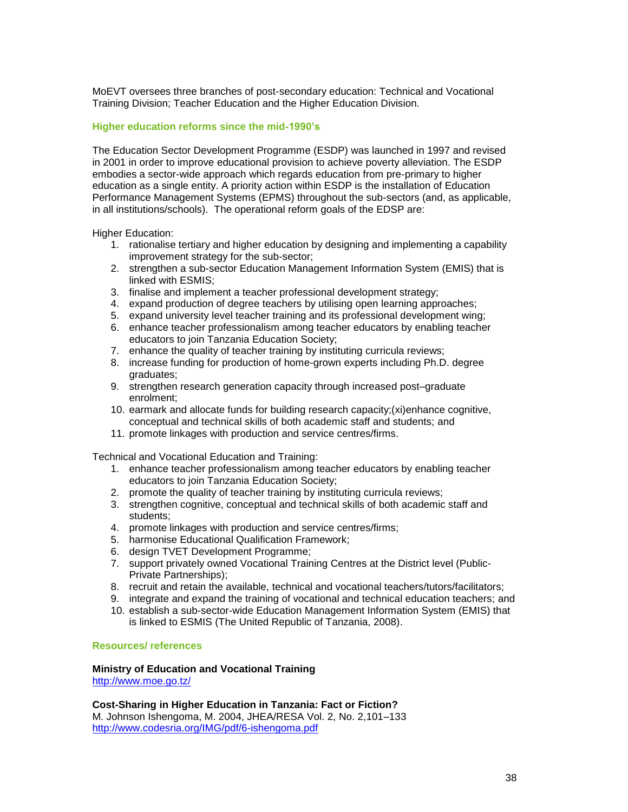MoEVT oversees three branches of post-secondary education: Technical and Vocational Training Division; Teacher Education and the Higher Education Division.

## **Higher education reforms since the mid-1990's**

The Education Sector Development Programme (ESDP) was launched in 1997 and revised in 2001 in order to improve educational provision to achieve poverty alleviation. The ESDP embodies a sector-wide approach which regards education from pre-primary to higher education as a single entity. A priority action within ESDP is the installation of Education Performance Management Systems (EPMS) throughout the sub-sectors (and, as applicable, in all institutions/schools). The operational reform goals of the EDSP are:

Higher Education:

- 1. rationalise tertiary and higher education by designing and implementing a capability improvement strategy for the sub-sector;
- 2. strengthen a sub-sector Education Management Information System (EMIS) that is linked with ESMIS;
- 3. finalise and implement a teacher professional development strategy;
- 4. expand production of degree teachers by utilising open learning approaches;
- 5. expand university level teacher training and its professional development wing;
- 6. enhance teacher professionalism among teacher educators by enabling teacher educators to join Tanzania Education Society;
- 7. enhance the quality of teacher training by instituting curricula reviews;
- 8. increase funding for production of home-grown experts including Ph.D. degree graduates;
- 9. strengthen research generation capacity through increased post–graduate enrolment;
- 10. earmark and allocate funds for building research capacity;(xi)enhance cognitive, conceptual and technical skills of both academic staff and students; and
- 11. promote linkages with production and service centres/firms.

Technical and Vocational Education and Training:

- 1. enhance teacher professionalism among teacher educators by enabling teacher educators to join Tanzania Education Society;
- 2. promote the quality of teacher training by instituting curricula reviews;
- 3. strengthen cognitive, conceptual and technical skills of both academic staff and students;
- 4. promote linkages with production and service centres/firms;
- 5. harmonise Educational Qualification Framework;
- 6. design TVET Development Programme;
- 7. support privately owned Vocational Training Centres at the District level (Public-Private Partnerships);
- 8. recruit and retain the available, technical and vocational teachers/tutors/facilitators;
- 9. integrate and expand the training of vocational and technical education teachers; and
- 10. establish a sub-sector-wide Education Management Information System (EMIS) that is linked to ESMIS (The United Republic of Tanzania, 2008).

#### **Resources/ references**

**Ministry of Education and Vocational Training** <http://www.moe.go.tz/>

**Cost-Sharing in Higher Education in Tanzania: Fact or Fiction?** M. Johnson Ishengoma, M. 2004, JHEA/RESA Vol. 2, No. 2,101–133 <http://www.codesria.org/IMG/pdf/6-ishengoma.pdf>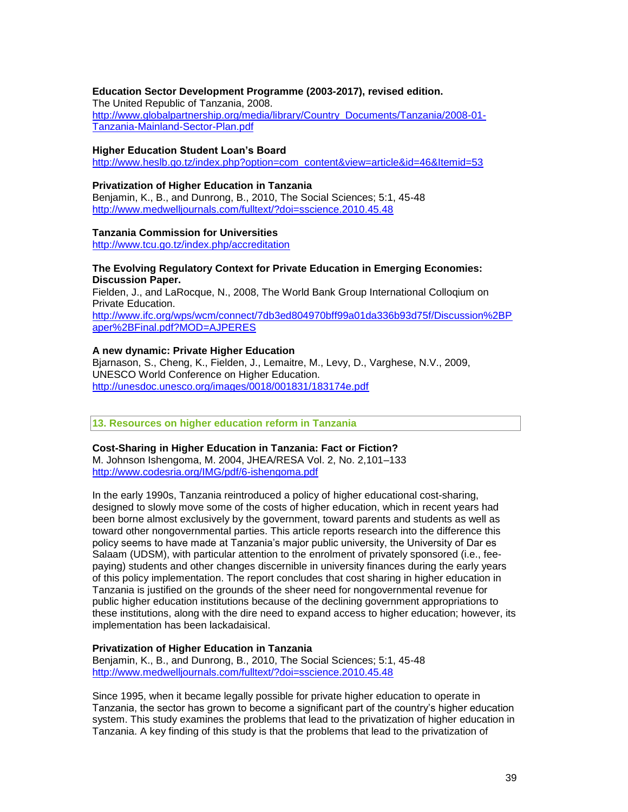## **Education Sector Development Programme (2003-2017), revised edition.**

The United Republic of Tanzania, 2008. [http://www.globalpartnership.org/media/library/Country\\_Documents/Tanzania/2008-01-](http://www.globalpartnership.org/media/library/Country_Documents/Tanzania/2008-01-Tanzania-Mainland-Sector-Plan.pdf) [Tanzania-Mainland-Sector-Plan.pdf](http://www.globalpartnership.org/media/library/Country_Documents/Tanzania/2008-01-Tanzania-Mainland-Sector-Plan.pdf)

#### **Higher Education Student Loan's Board**

[http://www.heslb.go.tz/index.php?option=com\\_content&view=article&id=46&Itemid=53](http://www.heslb.go.tz/index.php?option=com_content&view=article&id=46&Itemid=53)

# **Privatization of Higher Education in Tanzania**

Benjamin, K., B., and Dunrong, B., 2010, The Social Sciences; 5:1, 45-48 <http://www.medwelljournals.com/fulltext/?doi=sscience.2010.45.48>

# **Tanzania Commission for Universities**

<http://www.tcu.go.tz/index.php/accreditation>

## **The Evolving Regulatory Context for Private Education in Emerging Economies: Discussion Paper.**

Fielden, J., and LaRocque, N., 2008, The World Bank Group International Colloqium on Private Education. [http://www.ifc.org/wps/wcm/connect/7db3ed804970bff99a01da336b93d75f/Discussion%2BP](http://www.ifc.org/wps/wcm/connect/7db3ed804970bff99a01da336b93d75f/Discussion%2BPaper%2BFinal.pdf?MOD=AJPERES)

[aper%2BFinal.pdf?MOD=AJPERES](http://www.ifc.org/wps/wcm/connect/7db3ed804970bff99a01da336b93d75f/Discussion%2BPaper%2BFinal.pdf?MOD=AJPERES)

#### **A new dynamic: Private Higher Education**

Bjarnason, S., Cheng, K., Fielden, J., Lemaitre, M., Levy, D., Varghese, N.V., 2009, UNESCO World Conference on Higher Education. <http://unesdoc.unesco.org/images/0018/001831/183174e.pdf>

**13. Resources on higher education reform in Tanzania**

#### **Cost-Sharing in Higher Education in Tanzania: Fact or Fiction?**

M. Johnson Ishengoma, M. 2004, JHEA/RESA Vol. 2, No. 2,101–133 <http://www.codesria.org/IMG/pdf/6-ishengoma.pdf>

In the early 1990s, Tanzania reintroduced a policy of higher educational cost-sharing, designed to slowly move some of the costs of higher education, which in recent years had been borne almost exclusively by the government, toward parents and students as well as toward other nongovernmental parties. This article reports research into the difference this policy seems to have made at Tanzania's major public university, the University of Dar es Salaam (UDSM), with particular attention to the enrolment of privately sponsored (i.e., feepaying) students and other changes discernible in university finances during the early years of this policy implementation. The report concludes that cost sharing in higher education in Tanzania is justified on the grounds of the sheer need for nongovernmental revenue for public higher education institutions because of the declining government appropriations to these institutions, along with the dire need to expand access to higher education; however, its implementation has been lackadaisical.

# **Privatization of Higher Education in Tanzania**

Benjamin, K., B., and Dunrong, B., 2010, The Social Sciences; 5:1, 45-48 <http://www.medwelljournals.com/fulltext/?doi=sscience.2010.45.48>

Since 1995, when it became legally possible for private higher education to operate in Tanzania, the sector has grown to become a significant part of the country's higher education system. This study examines the problems that lead to the privatization of higher education in Tanzania. A key finding of this study is that the problems that lead to the privatization of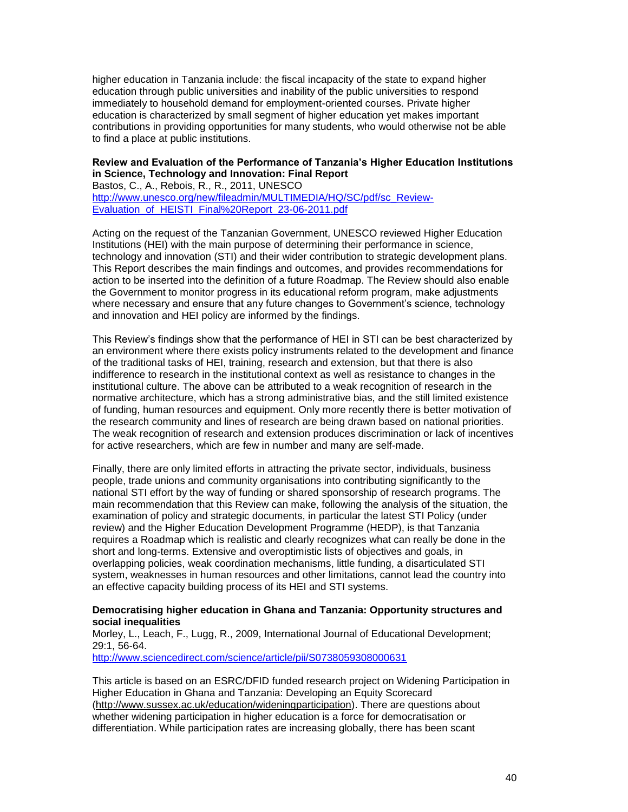higher education in Tanzania include: the fiscal incapacity of the state to expand higher education through public universities and inability of the public universities to respond immediately to household demand for employment-oriented courses. Private higher education is characterized by small segment of higher education yet makes important contributions in providing opportunities for many students, who would otherwise not be able to find a place at public institutions.

# **Review and Evaluation of the Performance of Tanzania's Higher Education Institutions in Science, Technology and Innovation: Final Report**

Bastos, C., A., Rebois, R., R., 2011, UNESCO [http://www.unesco.org/new/fileadmin/MULTIMEDIA/HQ/SC/pdf/sc\\_Review-](http://www.unesco.org/new/fileadmin/MULTIMEDIA/HQ/SC/pdf/sc_Review-Evaluation_of_HEISTI_Final%20Report_23-06-2011.pdf)[Evaluation\\_of\\_HEISTI\\_Final%20Report\\_23-06-2011.pdf](http://www.unesco.org/new/fileadmin/MULTIMEDIA/HQ/SC/pdf/sc_Review-Evaluation_of_HEISTI_Final%20Report_23-06-2011.pdf)

Acting on the request of the Tanzanian Government, UNESCO reviewed Higher Education Institutions (HEI) with the main purpose of determining their performance in science, technology and innovation (STI) and their wider contribution to strategic development plans. This Report describes the main findings and outcomes, and provides recommendations for action to be inserted into the definition of a future Roadmap. The Review should also enable the Government to monitor progress in its educational reform program, make adjustments where necessary and ensure that any future changes to Government's science, technology and innovation and HEI policy are informed by the findings.

This Review's findings show that the performance of HEI in STI can be best characterized by an environment where there exists policy instruments related to the development and finance of the traditional tasks of HEI, training, research and extension, but that there is also indifference to research in the institutional context as well as resistance to changes in the institutional culture. The above can be attributed to a weak recognition of research in the normative architecture, which has a strong administrative bias, and the still limited existence of funding, human resources and equipment. Only more recently there is better motivation of the research community and lines of research are being drawn based on national priorities. The weak recognition of research and extension produces discrimination or lack of incentives for active researchers, which are few in number and many are self-made.

Finally, there are only limited efforts in attracting the private sector, individuals, business people, trade unions and community organisations into contributing significantly to the national STI effort by the way of funding or shared sponsorship of research programs. The main recommendation that this Review can make, following the analysis of the situation, the examination of policy and strategic documents, in particular the latest STI Policy (under review) and the Higher Education Development Programme (HEDP), is that Tanzania requires a Roadmap which is realistic and clearly recognizes what can really be done in the short and long-terms. Extensive and overoptimistic lists of objectives and goals, in overlapping policies, weak coordination mechanisms, little funding, a disarticulated STI system, weaknesses in human resources and other limitations, cannot lead the country into an effective capacity building process of its HEI and STI systems.

# **Democratising higher education in Ghana and Tanzania: Opportunity structures and social inequalities**

Morley, L., Leach, F., Lugg, R., 2009, International Journal of Educational Development; 29:1, 56-64.

<http://www.sciencedirect.com/science/article/pii/S0738059308000631>

This article is based on an ESRC/DFID funded research project on Widening Participation in Higher Education in Ghana and Tanzania: Developing an Equity Scorecard [\(http://www.sussex.ac.uk/education/wideningparticipation\)](http://www.sciencedirect.com/science?_ob=RedirectURL&_method=externObjLink&_locator=url&_cdi=271756&_issn=07380593&_origin=article&_zone=art_page&_plusSign=%2B&_targetURL=http%253A%252F%252Fwww.sussex.ac.uk%252Feducation%252Fwideningparticipation). There are questions about whether widening participation in higher education is a force for democratisation or differentiation. While participation rates are increasing globally, there has been scant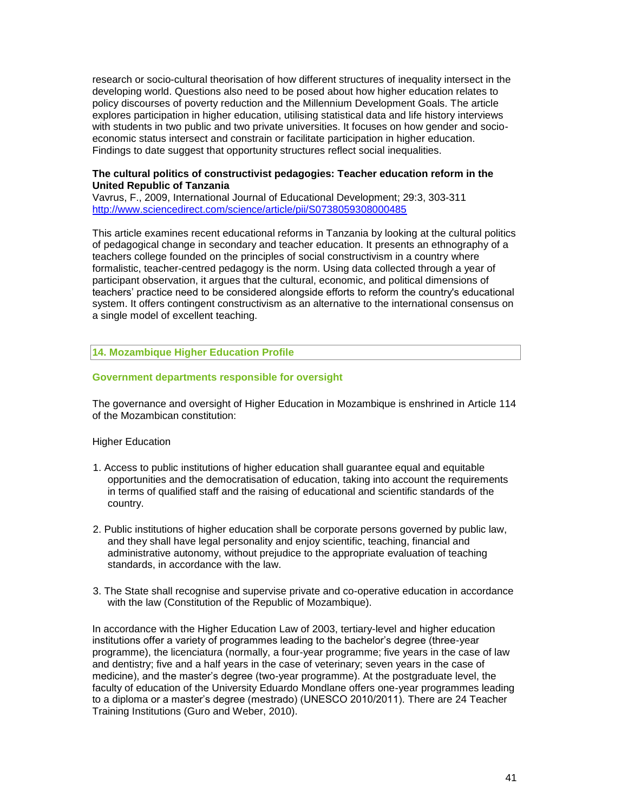research or socio-cultural theorisation of how different structures of inequality intersect in the developing world. Questions also need to be posed about how higher education relates to policy discourses of poverty reduction and the Millennium Development Goals. The article explores participation in higher education, utilising statistical data and life history interviews with students in two public and two private universities. It focuses on how gender and socioeconomic status intersect and constrain or facilitate participation in higher education. Findings to date suggest that opportunity structures reflect social inequalities.

## **The cultural politics of constructivist pedagogies: Teacher education reform in the United Republic of Tanzania**

Vavrus, F., 2009, [International Journal of Educational Development;](http://www.sciencedirect.com/science/journal/07380593) 29:3, 303-311 <http://www.sciencedirect.com/science/article/pii/S0738059308000485>

This article examines recent educational reforms in Tanzania by looking at the cultural politics of pedagogical change in secondary and teacher education. It presents an ethnography of a teachers college founded on the principles of social constructivism in a country where formalistic, teacher-centred pedagogy is the norm. Using data collected through a year of participant observation, it argues that the cultural, economic, and political dimensions of teachers' practice need to be considered alongside efforts to reform the country's educational system. It offers contingent constructivism as an alternative to the international consensus on a single model of excellent teaching.

# **14. Mozambique Higher Education Profile**

# **Government departments responsible for oversight**

The governance and oversight of Higher Education in Mozambique is enshrined in Article 114 of the Mozambican constitution:

#### Higher Education

- 1. Access to public institutions of higher education shall guarantee equal and equitable opportunities and the democratisation of education, taking into account the requirements in terms of qualified staff and the raising of educational and scientific standards of the country.
- 2. Public institutions of higher education shall be corporate persons governed by public law, and they shall have legal personality and enjoy scientific, teaching, financial and administrative autonomy, without prejudice to the appropriate evaluation of teaching standards, in accordance with the law.
- 3. The State shall recognise and supervise private and co-operative education in accordance with the law (Constitution of the Republic of Mozambique).

In accordance with the Higher Education Law of 2003, tertiary-level and higher education institutions offer a variety of programmes leading to the bachelor's degree (three-year programme), the licenciatura (normally, a four-year programme; five years in the case of law and dentistry; five and a half years in the case of veterinary; seven years in the case of medicine), and the master's degree (two-year programme). At the postgraduate level, the faculty of education of the University Eduardo Mondlane offers one-year programmes leading to a diploma or a master's degree (mestrado) (UNESCO 2010/2011). There are 24 Teacher Training Institutions (Guro and Weber, 2010).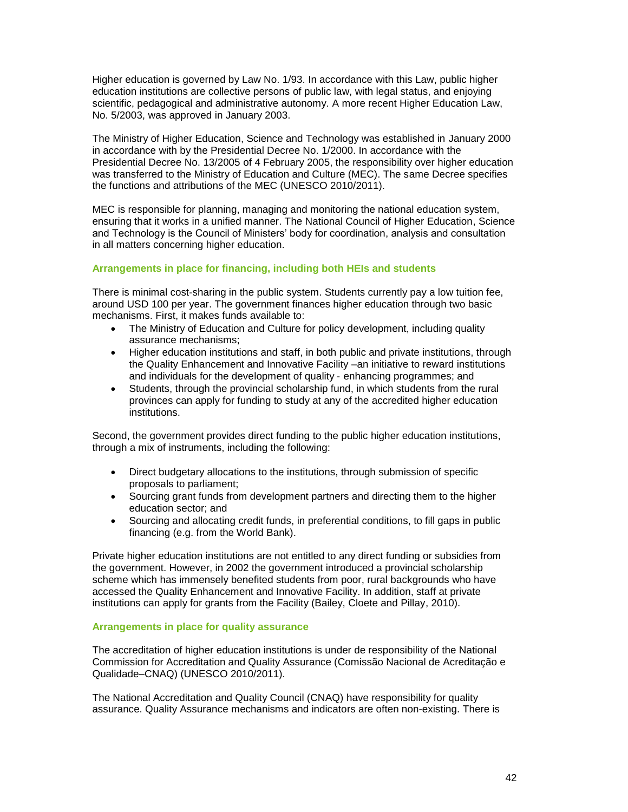Higher education is governed by Law No. 1/93. In accordance with this Law, public higher education institutions are collective persons of public law, with legal status, and enjoying scientific, pedagogical and administrative autonomy. A more recent Higher Education Law, No. 5/2003, was approved in January 2003.

The Ministry of Higher Education, Science and Technology was established in January 2000 in accordance with by the Presidential Decree No. 1/2000. In accordance with the Presidential Decree No. 13/2005 of 4 February 2005, the responsibility over higher education was transferred to the Ministry of Education and Culture (MEC). The same Decree specifies the functions and attributions of the MEC (UNESCO 2010/2011).

MEC is responsible for planning, managing and monitoring the national education system, ensuring that it works in a unified manner. The National Council of Higher Education, Science and Technology is the Council of Ministers' body for coordination, analysis and consultation in all matters concerning higher education.

# **Arrangements in place for financing, including both HEIs and students**

There is minimal cost-sharing in the public system. Students currently pay a low tuition fee, around USD 100 per year. The government finances higher education through two basic mechanisms. First, it makes funds available to:

- The Ministry of Education and Culture for policy development, including quality assurance mechanisms;
- Higher education institutions and staff, in both public and private institutions, through the Quality Enhancement and Innovative Facility –an initiative to reward institutions and individuals for the development of quality ‐ enhancing programmes; and
- Students, through the provincial scholarship fund, in which students from the rural provinces can apply for funding to study at any of the accredited higher education institutions.

Second, the government provides direct funding to the public higher education institutions, through a mix of instruments, including the following:

- Direct budgetary allocations to the institutions, through submission of specific proposals to parliament;
- Sourcing grant funds from development partners and directing them to the higher education sector; and
- Sourcing and allocating credit funds, in preferential conditions, to fill gaps in public financing (e.g. from the World Bank).

Private higher education institutions are not entitled to any direct funding or subsidies from the government. However, in 2002 the government introduced a provincial scholarship scheme which has immensely benefited students from poor, rural backgrounds who have accessed the Quality Enhancement and Innovative Facility. In addition, staff at private institutions can apply for grants from the Facility (Bailey, Cloete and Pillay, 2010).

# **Arrangements in place for quality assurance**

The accreditation of higher education institutions is under de responsibility of the National Commission for Accreditation and Quality Assurance (Comissão Nacional de Acreditação e Qualidade–CNAQ) (UNESCO 2010/2011).

The National Accreditation and Quality Council (CNAQ) have responsibility for quality assurance. Quality Assurance mechanisms and indicators are often non-existing. There is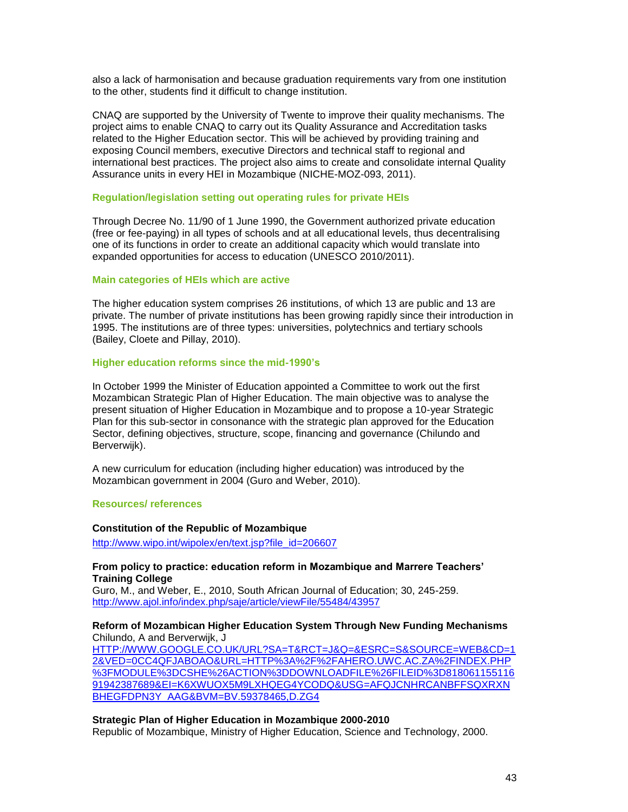also a lack of harmonisation and because graduation requirements vary from one institution to the other, students find it difficult to change institution.

CNAQ are supported by the University of Twente to improve their quality mechanisms. The project aims to enable CNAQ to carry out its Quality Assurance and Accreditation tasks related to the Higher Education sector. This will be achieved by providing training and exposing Council members, executive Directors and technical staff to regional and international best practices. The project also aims to create and consolidate internal Quality Assurance units in every HEI in Mozambique (NICHE-MOZ-093, 2011).

#### **Regulation/legislation setting out operating rules for private HEIs**

Through Decree No. 11/90 of 1 June 1990, the Government authorized private education (free or fee-paying) in all types of schools and at all educational levels, thus decentralising one of its functions in order to create an additional capacity which would translate into expanded opportunities for access to education (UNESCO 2010/2011).

#### **Main categories of HEIs which are active**

The higher education system comprises 26 institutions, of which 13 are public and 13 are private. The number of private institutions has been growing rapidly since their introduction in 1995. The institutions are of three types: universities, polytechnics and tertiary schools (Bailey, Cloete and Pillay, 2010).

#### **Higher education reforms since the mid-1990's**

In October 1999 the Minister of Education appointed a Committee to work out the first Mozambican Strategic Plan of Higher Education. The main objective was to analyse the present situation of Higher Education in Mozambique and to propose a 10-year Strategic Plan for this sub-sector in consonance with the strategic plan approved for the Education Sector, defining objectives, structure, scope, financing and governance (Chilundo and Berverwijk).

A new curriculum for education (including higher education) was introduced by the Mozambican government in 2004 (Guro and Weber, 2010).

#### **Resources/ references**

## **Constitution of the Republic of Mozambique**

[http://www.wipo.int/wipolex/en/text.jsp?file\\_id=206607](http://www.wipo.int/wipolex/en/text.jsp?file_id=206607)

#### **From policy to practice: education reform in Mozambique and Marrere Teachers' Training College**

Guro, M., and Weber, E., 2010, South African Journal of Education; 30, 245-259. <http://www.ajol.info/index.php/saje/article/viewFile/55484/43957>

### **Reform of Mozambican Higher Education System Through New Funding Mechanisms** Chilundo, A and Berverwijk, J

[HTTP://WWW.GOOGLE.CO.UK/URL?SA=T&RCT=J&Q=&ESRC=S&SOURCE=WEB&CD=1](http://www.google.co.uk/url?sa=t&rct=j&q=&esrc=s&source=web&cd=12&ved=0CC4QFjABOAo&url=http%3A%2F%2Fahero.uwc.ac.za%2Findex.php%3Fmodule%3Dcshe%26action%3Ddownloadfile%26fileid%3D81806115511691942387689&ei=k6XWUoX5M9LxhQeg4YCoDQ&usg=AFQjCNHrcaNbffSqxrxnbHegFdpn3y_AAg&bvm=bv.59378465,d.ZG4) [2&VED=0CC4QFJABOAO&URL=HTTP%3A%2F%2FAHERO.UWC.AC.ZA%2FINDEX.PHP](http://www.google.co.uk/url?sa=t&rct=j&q=&esrc=s&source=web&cd=12&ved=0CC4QFjABOAo&url=http%3A%2F%2Fahero.uwc.ac.za%2Findex.php%3Fmodule%3Dcshe%26action%3Ddownloadfile%26fileid%3D81806115511691942387689&ei=k6XWUoX5M9LxhQeg4YCoDQ&usg=AFQjCNHrcaNbffSqxrxnbHegFdpn3y_AAg&bvm=bv.59378465,d.ZG4) [%3FMODULE%3DCSHE%26ACTION%3DDOWNLOADFILE%26FILEID%3D818061155116](http://www.google.co.uk/url?sa=t&rct=j&q=&esrc=s&source=web&cd=12&ved=0CC4QFjABOAo&url=http%3A%2F%2Fahero.uwc.ac.za%2Findex.php%3Fmodule%3Dcshe%26action%3Ddownloadfile%26fileid%3D81806115511691942387689&ei=k6XWUoX5M9LxhQeg4YCoDQ&usg=AFQjCNHrcaNbffSqxrxnbHegFdpn3y_AAg&bvm=bv.59378465,d.ZG4) [91942387689&EI=K6XWUOX5M9LXHQEG4YCODQ&USG=AFQJCNHRCANBFFSQXRXN](http://www.google.co.uk/url?sa=t&rct=j&q=&esrc=s&source=web&cd=12&ved=0CC4QFjABOAo&url=http%3A%2F%2Fahero.uwc.ac.za%2Findex.php%3Fmodule%3Dcshe%26action%3Ddownloadfile%26fileid%3D81806115511691942387689&ei=k6XWUoX5M9LxhQeg4YCoDQ&usg=AFQjCNHrcaNbffSqxrxnbHegFdpn3y_AAg&bvm=bv.59378465,d.ZG4) [BHEGFDPN3Y\\_AAG&BVM=BV.59378465,D.ZG4](http://www.google.co.uk/url?sa=t&rct=j&q=&esrc=s&source=web&cd=12&ved=0CC4QFjABOAo&url=http%3A%2F%2Fahero.uwc.ac.za%2Findex.php%3Fmodule%3Dcshe%26action%3Ddownloadfile%26fileid%3D81806115511691942387689&ei=k6XWUoX5M9LxhQeg4YCoDQ&usg=AFQjCNHrcaNbffSqxrxnbHegFdpn3y_AAg&bvm=bv.59378465,d.ZG4)

#### **Strategic Plan of Higher Education in Mozambique 2000-2010**

Republic of Mozambique, Ministry of Higher Education, Science and Technology, 2000.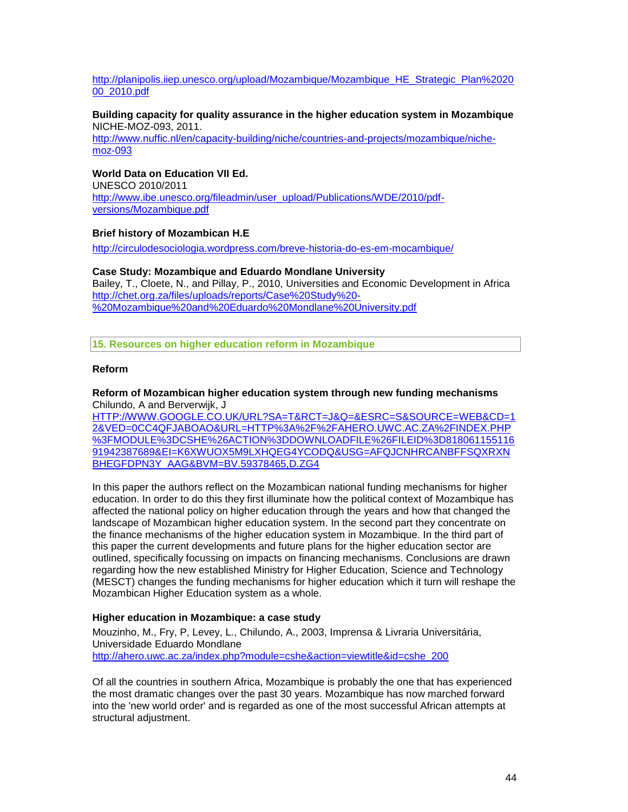# [http://planipolis.iiep.unesco.org/upload/Mozambique/Mozambique\\_HE\\_Strategic\\_Plan%2020](http://planipolis.iiep.unesco.org/upload/Mozambique/Mozambique_HE_Strategic_Plan%202000_2010.pdf) [00\\_2010.pdf](http://planipolis.iiep.unesco.org/upload/Mozambique/Mozambique_HE_Strategic_Plan%202000_2010.pdf)

#### **Building capacity for quality assurance in the higher education system in Mozambique**  NICHE-MOZ-093, 2011.

[http://www.nuffic.nl/en/capacity-building/niche/countries-and-projects/mozambique/niche](http://www.nuffic.nl/en/capacity-building/niche/countries-and-projects/mozambique/niche-moz-093)[moz-093](http://www.nuffic.nl/en/capacity-building/niche/countries-and-projects/mozambique/niche-moz-093)

# **World Data on Education VII Ed.**

UNESCO 2010/2011 [http://www.ibe.unesco.org/fileadmin/user\\_upload/Publications/WDE/2010/pdf](http://www.ibe.unesco.org/fileadmin/user_upload/Publications/WDE/2010/pdf-versions/Mozambique.pdf)[versions/Mozambique.pdf](http://www.ibe.unesco.org/fileadmin/user_upload/Publications/WDE/2010/pdf-versions/Mozambique.pdf)

# **Brief history of Mozambican H.E**

<http://circulodesociologia.wordpress.com/breve-historia-do-es-em-mocambique/>

# **Case Study: Mozambique and Eduardo Mondlane University** Bailey, T., Cloete, N., and Pillay, P., 2010, Universities and Economic Development in Africa [http://chet.org.za/files/uploads/reports/Case%20Study%20-](http://chet.org.za/files/uploads/reports/Case%20Study%20-%20Mozambique%20and%20Eduardo%20Mondlane%20University.pdf) [%20Mozambique%20and%20Eduardo%20Mondlane%20University.pdf](http://chet.org.za/files/uploads/reports/Case%20Study%20-%20Mozambique%20and%20Eduardo%20Mondlane%20University.pdf)

**15. Resources on higher education reform in Mozambique**

# **Reform**

#### **Reform of Mozambican higher education system through new funding mechanisms** Chilundo, A and Berverwijk, J

[HTTP://WWW.GOOGLE.CO.UK/URL?SA=T&RCT=J&Q=&ESRC=S&SOURCE=WEB&CD=1](http://www.google.co.uk/url?sa=t&rct=j&q=&esrc=s&source=web&cd=12&ved=0CC4QFjABOAo&url=http%3A%2F%2Fahero.uwc.ac.za%2Findex.php%3Fmodule%3Dcshe%26action%3Ddownloadfile%26fileid%3D81806115511691942387689&ei=k6XWUoX5M9LxhQeg4YCoDQ&usg=AFQjCNHrcaNbffSqxrxnbHegFdpn3y_AAg&bvm=bv.59378465,d.ZG4) [2&VED=0CC4QFJABOAO&URL=HTTP%3A%2F%2FAHERO.UWC.AC.ZA%2FINDEX.PHP](http://www.google.co.uk/url?sa=t&rct=j&q=&esrc=s&source=web&cd=12&ved=0CC4QFjABOAo&url=http%3A%2F%2Fahero.uwc.ac.za%2Findex.php%3Fmodule%3Dcshe%26action%3Ddownloadfile%26fileid%3D81806115511691942387689&ei=k6XWUoX5M9LxhQeg4YCoDQ&usg=AFQjCNHrcaNbffSqxrxnbHegFdpn3y_AAg&bvm=bv.59378465,d.ZG4) [%3FMODULE%3DCSHE%26ACTION%3DDOWNLOADFILE%26FILEID%3D818061155116](http://www.google.co.uk/url?sa=t&rct=j&q=&esrc=s&source=web&cd=12&ved=0CC4QFjABOAo&url=http%3A%2F%2Fahero.uwc.ac.za%2Findex.php%3Fmodule%3Dcshe%26action%3Ddownloadfile%26fileid%3D81806115511691942387689&ei=k6XWUoX5M9LxhQeg4YCoDQ&usg=AFQjCNHrcaNbffSqxrxnbHegFdpn3y_AAg&bvm=bv.59378465,d.ZG4) [91942387689&EI=K6XWUOX5M9LXHQEG4YCODQ&USG=AFQJCNHRCANBFFSQXRXN](http://www.google.co.uk/url?sa=t&rct=j&q=&esrc=s&source=web&cd=12&ved=0CC4QFjABOAo&url=http%3A%2F%2Fahero.uwc.ac.za%2Findex.php%3Fmodule%3Dcshe%26action%3Ddownloadfile%26fileid%3D81806115511691942387689&ei=k6XWUoX5M9LxhQeg4YCoDQ&usg=AFQjCNHrcaNbffSqxrxnbHegFdpn3y_AAg&bvm=bv.59378465,d.ZG4) [BHEGFDPN3Y\\_AAG&BVM=BV.59378465,D.ZG4](http://www.google.co.uk/url?sa=t&rct=j&q=&esrc=s&source=web&cd=12&ved=0CC4QFjABOAo&url=http%3A%2F%2Fahero.uwc.ac.za%2Findex.php%3Fmodule%3Dcshe%26action%3Ddownloadfile%26fileid%3D81806115511691942387689&ei=k6XWUoX5M9LxhQeg4YCoDQ&usg=AFQjCNHrcaNbffSqxrxnbHegFdpn3y_AAg&bvm=bv.59378465,d.ZG4)

In this paper the authors reflect on the Mozambican national funding mechanisms for higher education. In order to do this they first illuminate how the political context of Mozambique has affected the national policy on higher education through the years and how that changed the landscape of Mozambican higher education system. In the second part they concentrate on the finance mechanisms of the higher education system in Mozambique. In the third part of this paper the current developments and future plans for the higher education sector are outlined, specifically focussing on impacts on financing mechanisms. Conclusions are drawn regarding how the new established Ministry for Higher Education, Science and Technology (MESCT) changes the funding mechanisms for higher education which it turn will reshape the Mozambican Higher Education system as a whole.

# **Higher education in Mozambique: a case study**

Mouzinho, M., Fry, P, Levey, L., Chilundo, A., 2003, Imprensa & Livraria Universitária, Universidade Eduardo Mondlane [http://ahero.uwc.ac.za/index.php?module=cshe&action=viewtitle&id=cshe\\_200](http://ahero.uwc.ac.za/index.php?module=cshe&action=viewtitle&id=cshe_200)

Of all the countries in southern Africa, Mozambique is probably the one that has experienced the most dramatic changes over the past 30 years. Mozambique has now marched forward into the 'new world order' and is regarded as one of the most successful African attempts at structural adiustment.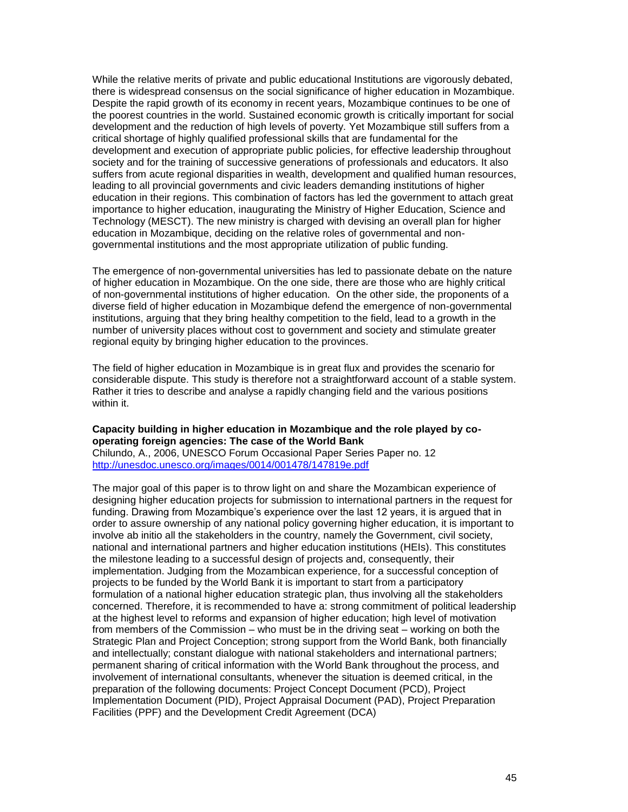While the relative merits of private and public educational Institutions are vigorously debated, there is widespread consensus on the social significance of higher education in Mozambique. Despite the rapid growth of its economy in recent years, Mozambique continues to be one of the poorest countries in the world. Sustained economic growth is critically important for social development and the reduction of high levels of poverty. Yet Mozambique still suffers from a critical shortage of highly qualified professional skills that are fundamental for the development and execution of appropriate public policies, for effective leadership throughout society and for the training of successive generations of professionals and educators. It also suffers from acute regional disparities in wealth, development and qualified human resources, leading to all provincial governments and civic leaders demanding institutions of higher education in their regions. This combination of factors has led the government to attach great importance to higher education, inaugurating the Ministry of Higher Education, Science and Technology (MESCT). The new ministry is charged with devising an overall plan for higher education in Mozambique, deciding on the relative roles of governmental and nongovernmental institutions and the most appropriate utilization of public funding.

The emergence of non-governmental universities has led to passionate debate on the nature of higher education in Mozambique. On the one side, there are those who are highly critical of non-governmental institutions of higher education. On the other side, the proponents of a diverse field of higher education in Mozambique defend the emergence of non-governmental institutions, arguing that they bring healthy competition to the field, lead to a growth in the number of university places without cost to government and society and stimulate greater regional equity by bringing higher education to the provinces.

The field of higher education in Mozambique is in great flux and provides the scenario for considerable dispute. This study is therefore not a straightforward account of a stable system. Rather it tries to describe and analyse a rapidly changing field and the various positions within it.

# **Capacity building in higher education in Mozambique and the role played by cooperating foreign agencies: The case of the World Bank**

Chilundo, A., 2006, UNESCO Forum Occasional Paper Series Paper no. 12 <http://unesdoc.unesco.org/images/0014/001478/147819e.pdf>

The major goal of this paper is to throw light on and share the Mozambican experience of designing higher education projects for submission to international partners in the request for funding. Drawing from Mozambique's experience over the last 12 years, it is argued that in order to assure ownership of any national policy governing higher education, it is important to involve ab initio all the stakeholders in the country, namely the Government, civil society, national and international partners and higher education institutions (HEIs). This constitutes the milestone leading to a successful design of projects and, consequently, their implementation. Judging from the Mozambican experience, for a successful conception of projects to be funded by the World Bank it is important to start from a participatory formulation of a national higher education strategic plan, thus involving all the stakeholders concerned. Therefore, it is recommended to have a: strong commitment of political leadership at the highest level to reforms and expansion of higher education; high level of motivation from members of the Commission – who must be in the driving seat – working on both the Strategic Plan and Project Conception; strong support from the World Bank, both financially and intellectually; constant dialogue with national stakeholders and international partners; permanent sharing of critical information with the World Bank throughout the process, and involvement of international consultants, whenever the situation is deemed critical, in the preparation of the following documents: Project Concept Document (PCD), Project Implementation Document (PID), Project Appraisal Document (PAD), Project Preparation Facilities (PPF) and the Development Credit Agreement (DCA)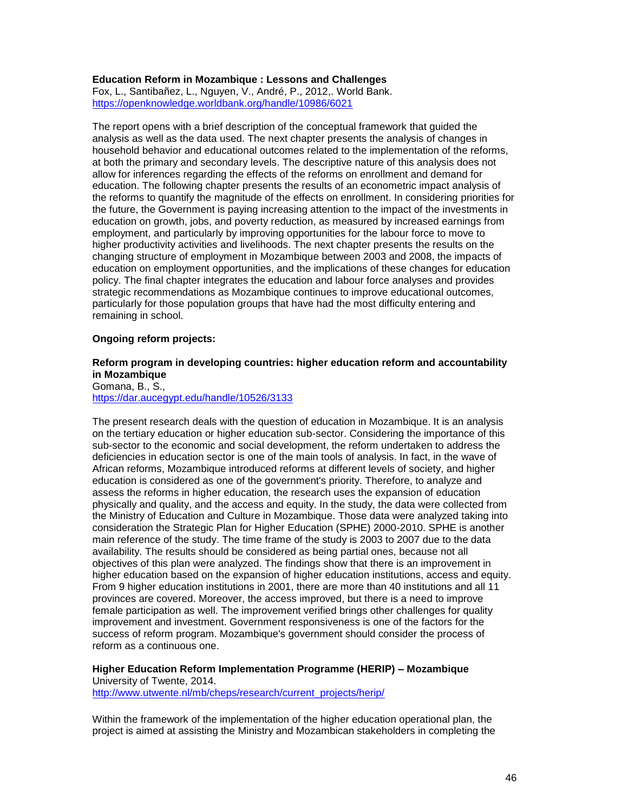## **Education Reform in Mozambique : Lessons and Challenges**

Fox, L., Santibañez, L., Nguyen, V., André, P., 2012,. World Bank. <https://openknowledge.worldbank.org/handle/10986/6021>

The report opens with a brief description of the conceptual framework that guided the analysis as well as the data used. The next chapter presents the analysis of changes in household behavior and educational outcomes related to the implementation of the reforms, at both the primary and secondary levels. The descriptive nature of this analysis does not allow for inferences regarding the effects of the reforms on enrollment and demand for education. The following chapter presents the results of an econometric impact analysis of the reforms to quantify the magnitude of the effects on enrollment. In considering priorities for the future, the Government is paying increasing attention to the impact of the investments in education on growth, jobs, and poverty reduction, as measured by increased earnings from employment, and particularly by improving opportunities for the labour force to move to higher productivity activities and livelihoods. The next chapter presents the results on the changing structure of employment in Mozambique between 2003 and 2008, the impacts of education on employment opportunities, and the implications of these changes for education policy. The final chapter integrates the education and labour force analyses and provides strategic recommendations as Mozambique continues to improve educational outcomes, particularly for those population groups that have had the most difficulty entering and remaining in school.

#### **Ongoing reform projects:**

# **Reform program in developing countries: higher education reform and accountability in Mozambique**

Gomana, B., S., <https://dar.aucegypt.edu/handle/10526/3133>

The present research deals with the question of education in Mozambique. It is an analysis on the tertiary education or higher education sub-sector. Considering the importance of this sub-sector to the economic and social development, the reform undertaken to address the deficiencies in education sector is one of the main tools of analysis. In fact, in the wave of African reforms, Mozambique introduced reforms at different levels of society, and higher education is considered as one of the government's priority. Therefore, to analyze and assess the reforms in higher education, the research uses the expansion of education physically and quality, and the access and equity. In the study, the data were collected from the Ministry of Education and Culture in Mozambique. Those data were analyzed taking into consideration the Strategic Plan for Higher Education (SPHE) 2000-2010. SPHE is another main reference of the study. The time frame of the study is 2003 to 2007 due to the data availability. The results should be considered as being partial ones, because not all objectives of this plan were analyzed. The findings show that there is an improvement in higher education based on the expansion of higher education institutions, access and equity. From 9 higher education institutions in 2001, there are more than 40 institutions and all 11 provinces are covered. Moreover, the access improved, but there is a need to improve female participation as well. The improvement verified brings other challenges for quality improvement and investment. Government responsiveness is one of the factors for the success of reform program. Mozambique's government should consider the process of reform as a continuous one.

**Higher Education Reform Implementation Programme (HERIP) – Mozambique** University of Twente, 2014.

[http://www.utwente.nl/mb/cheps/research/current\\_projects/herip/](http://www.utwente.nl/mb/cheps/research/current_projects/herip/)

Within the framework of the implementation of the higher education operational plan, the project is aimed at assisting the Ministry and Mozambican stakeholders in completing the